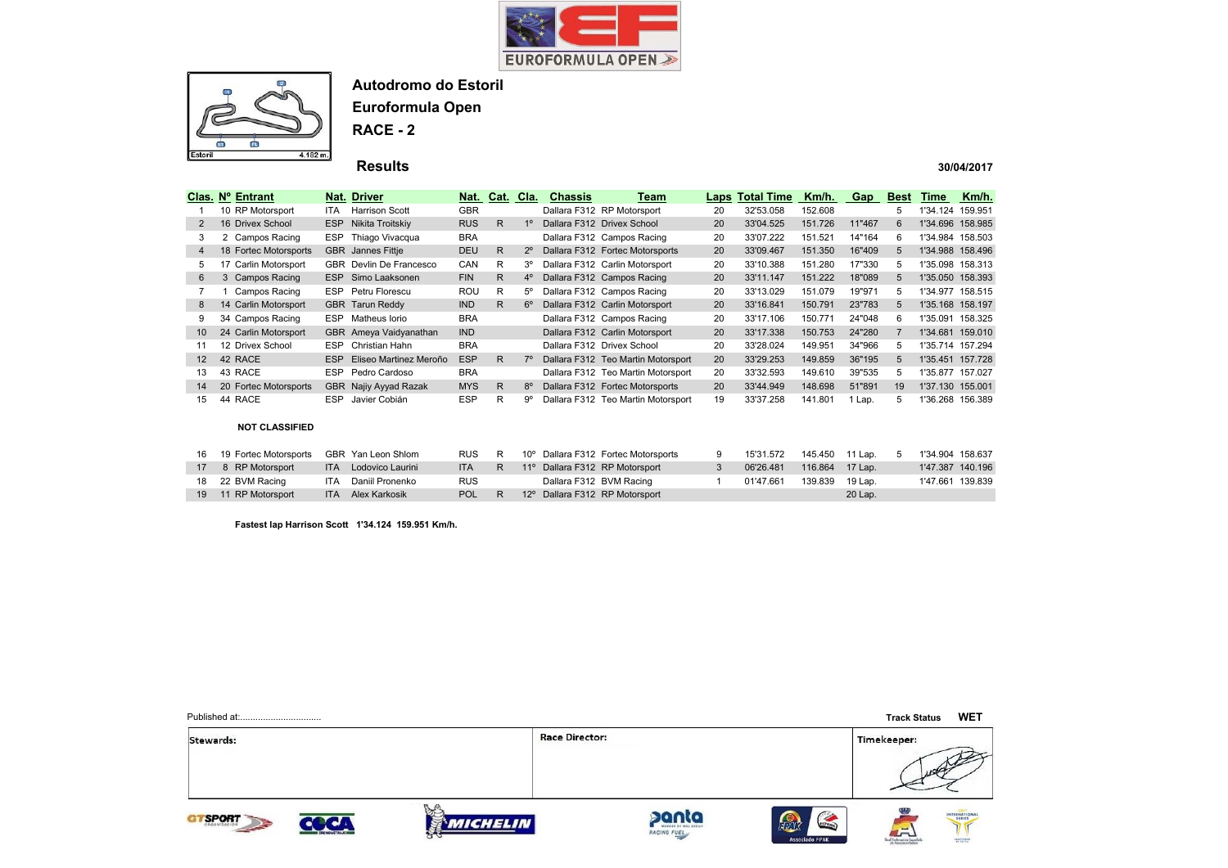



**Euroformula Open**

**RACE - 2**

 **Results** 

#### **30/04/2017**

|    | Clas. Nº Entrant      |            | Nat. Driver              |            | Nat. Cat. Cla. |                | <b>Chassis</b> | Team                               |    | <b>Laps Total Time</b> | Km/h.   | Gap    | <b>Best</b> | Time             | Km/h.   |
|----|-----------------------|------------|--------------------------|------------|----------------|----------------|----------------|------------------------------------|----|------------------------|---------|--------|-------------|------------------|---------|
|    | 10 RP Motorsport      | <b>ITA</b> | <b>Harrison Scott</b>    | <b>GBR</b> |                |                |                | Dallara F312 RP Motorsport         | 20 | 32'53.058              | 152.608 |        | 5           | 1'34.124 159.951 |         |
| 2  | 16 Drivex School      | <b>ESP</b> | Nikita Troitskiv         | <b>RUS</b> | R.             | 1 <sup>0</sup> |                | Dallara F312 Drivex School         | 20 | 33'04.525              | 151.726 | 11"467 | 6           | 1'34.696 158.985 |         |
| 3  | 2 Campos Racing       | ESP        | Thiago Vivacqua          | <b>BRA</b> |                |                |                | Dallara F312 Campos Racing         | 20 | 33'07.222              | 151.521 | 14"164 | 6.          | 1'34.984 158.503 |         |
| 4  | 18 Fortec Motorsports |            | <b>GBR</b> Jannes Fittje | <b>DEU</b> | R              | $2^{\circ}$    |                | Dallara F312 Fortec Motorsports    | 20 | 33'09.467              | 151.350 | 16"409 | 5           | 1'34.988 158.496 |         |
| 5  | 17 Carlin Motorsport  |            | GBR Devlin De Francesco  | CAN        | R              | 3°             |                | Dallara F312 Carlin Motorsport     | 20 | 33'10.388              | 151.280 | 17"330 | 5           | 1'35.098 158.313 |         |
| 6  | 3 Campos Racing       | <b>ESP</b> | Simo Laaksonen           | <b>FIN</b> | R              | $4^{\circ}$    |                | Dallara F312 Campos Racing         | 20 | 33'11.147              | 151.222 | 18"089 | 5           | 1'35.050 158.393 |         |
|    | Campos Racing         | <b>ESP</b> | Petru Florescu           | <b>ROU</b> | R              | $5^{\circ}$    |                | Dallara F312 Campos Racing         | 20 | 33'13.029              | 151.079 | 19"971 | 5           | 1'34.977 158.515 |         |
| 8  | 14 Carlin Motorsport  |            | <b>GBR</b> Tarun Reddy   | <b>IND</b> | R.             | $6^{\circ}$    |                | Dallara F312 Carlin Motorsport     | 20 | 33'16.841              | 150.791 | 23"783 |             | 1'35.168 158.197 |         |
| 9  | 34 Campos Racing      | <b>ESP</b> | Matheus Iorio            | <b>BRA</b> |                |                |                | Dallara F312 Campos Racing         | 20 | 33'17.106              | 150.771 | 24"048 | 6           | 1'35.091         | 158.325 |
| 10 | 24 Carlin Motorsport  |            | GBR Ameya Vaidyanathan   | <b>IND</b> |                |                |                | Dallara F312 Carlin Motorsport     | 20 | 33'17.338              | 150.753 | 24"280 |             | 1'34.681 159.010 |         |
| 11 | 12 Drivex School      | ESP        | Christian Hahn           | <b>BRA</b> |                |                |                | Dallara F312 Drivex School         | 20 | 33'28.024              | 149.951 | 34"966 | 5.          | 1'35.714 157.294 |         |
| 12 | 42 RACE               | <b>ESP</b> | Eliseo Martinez Meroño   | <b>ESP</b> | R.             | $7^\circ$      |                | Dallara F312 Teo Martin Motorsport | 20 | 33'29.253              | 149.859 | 36"195 | 5           | 1'35.451 157.728 |         |
| 13 | 43 RACE               | ESP        | Pedro Cardoso            | <b>BRA</b> |                |                |                | Dallara F312 Teo Martin Motorsport | 20 | 33'32.593              | 149.610 | 39"535 | 5.          | 1'35.877 157.027 |         |
| 14 | 20 Fortec Motorsports |            | GBR Najiy Ayyad Razak    | <b>MYS</b> | R.             | $8^{\circ}$    |                | Dallara F312 Fortec Motorsports    | 20 | 33'44.949              | 148.698 | 51"891 | 19          | 1'37.130 155.001 |         |
| 15 | 44 RACE               | <b>ESP</b> | Javier Cobián            | <b>ESP</b> | R              | $9^{\circ}$    |                | Dallara F312 Teo Martin Motorsport | 19 | 33'37.258              | 141.801 | 1 Lap. | 5           | 1'36.268 156.389 |         |

#### **NOT CLASSIFIED**

|    | 16 19 Fortec Motorsports GBR Yan Leon Shlom |                          | RUS R      |  | 10° Dallara F312 Fortec Motorsports  | 15'31.572 |                 | 145.450 11 Lap. 5 1'34.904 158.637 |                  |  |
|----|---------------------------------------------|--------------------------|------------|--|--------------------------------------|-----------|-----------------|------------------------------------|------------------|--|
| 17 | 8 RP Motorsport                             | ITA Lodovico Laurini     |            |  | ITA R 11º Dallara F312 RP Motorsport | 06'26.481 | 116.864 17 Lap. |                                    | 1'47.387 140.196 |  |
|    | 18 22 BVM Racing                            | ITA Daniil Pronenko      | <b>RUS</b> |  | Dallara F312 BVM Racing              | 01'47.661 | 139.839 19 Lap. |                                    | 1'47.661 139.839 |  |
|    | 19 11 RP Motorsport                         | <b>ITA</b> Alex Karkosik | POL R      |  | 12° Dallara F312 RP Motorsport       |           |                 | 20 Lap.                            |                  |  |

**Fastest lap Harrison Scott 1'34.124 159.951 Km/h.**

|               |                        |                       |                      |                                | <b>Track Status</b>                                | <b>WET</b>                                         |
|---------------|------------------------|-----------------------|----------------------|--------------------------------|----------------------------------------------------|----------------------------------------------------|
| Stewards:     |                        | <b>Race Director:</b> |                      |                                | Timekeeper:                                        | <b>HOLLY</b>                                       |
| <b>TSPORT</b> | <b>IICHELIN</b><br>ਨਾਂ |                       | panta<br>RACING FUEL | ESTORIA<br>ø<br>Associado FPAK | $\overline{\phantom{a}}$<br>Real Federation Expans | INTERNATIONAL<br><b>SERIES</b><br><b>Lanchoren</b> |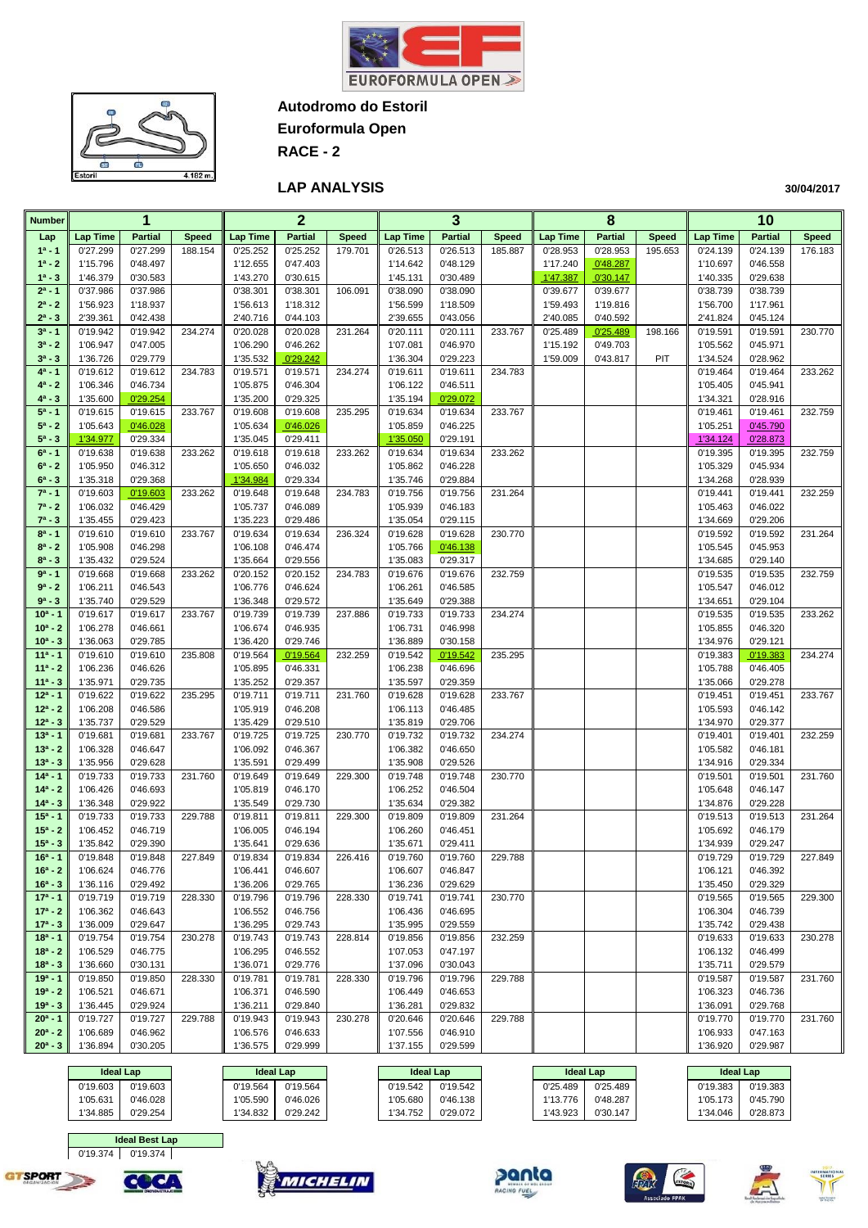



**Euroformula Open**

**RACE - 2**

#### **LAP ANALYSIS**

**30/04/2017**

| <b>Number</b>            |                      | 1                    |              |                      | $\overline{2}$       |              |                      | 3                    |              |                      | 8                    |              |                      | 10                   |              |
|--------------------------|----------------------|----------------------|--------------|----------------------|----------------------|--------------|----------------------|----------------------|--------------|----------------------|----------------------|--------------|----------------------|----------------------|--------------|
| Lap                      | <b>Lap Time</b>      | <b>Partial</b>       | <b>Speed</b> | <b>Lap Time</b>      | <b>Partial</b>       | <b>Speed</b> | <b>Lap Time</b>      | <b>Partial</b>       | <b>Speed</b> | <b>Lap Time</b>      | <b>Partial</b>       | <b>Speed</b> | Lap Time             | <b>Partial</b>       | <b>Speed</b> |
| $1a - 1$                 | 0'27.299             | 0'27.299             | 188.154      | 0'25.252             | 0'25.252             | 179.701      | 0'26.513             | 0'26.513             | 185.887      | 0'28.953             | 0'28.953             | 195.653      | 0'24.139             | 0'24.139             | 176.183      |
| $1^a - 2$                | 1'15.796             | 0'48.497             |              | 1'12.655             | 0'47.403             |              | 1'14.642             | 0'48.129             |              | 1'17.240             | 0'48.287             |              | 1'10.697             | 0'46.558             |              |
| $1^a - 3$<br>$2^a - 1$   | 1'46.379<br>0'37.986 | 0'30.583<br>0'37.986 |              | 1'43.270<br>0'38.301 | 0'30.615<br>0'38.301 | 106.091      | 1'45.131<br>0'38.090 | 0'30.489<br>0'38.090 |              | 1'47.387<br>0'39.677 | 0'30.147<br>0'39.677 |              | 1'40.335<br>0'38.739 | 0'29.638<br>0'38.739 |              |
| $2^a - 2$                | 1'56.923             | 1'18.937             |              | 1'56.613             | 1'18.312             |              | 1'56.599             | 1'18.509             |              | 1'59.493             | 1'19.816             |              | 1'56.700             | 1'17.961             |              |
| $2^a - 3$                | 2'39.361             | 0'42.438             |              | 2'40.716             | 0'44.103             |              | 2'39.655             | 0'43.056             |              | 2'40.085             | 0'40.592             |              | 2'41.824             | 0'45.124             |              |
| $3^a - 1$                | 0'19.942             | 0'19.942             | 234.274      | 0'20.028             | 0'20.028             | 231.264      | 0'20.111             | 0'20.111             | 233.767      | 0'25.489             | 0'25.489             | 198.166      | 0'19.591             | 0'19.591             | 230.770      |
| $3^a - 2$                | 1'06.947             | 0'47.005             |              | 1'06.290             | 0'46.262             |              | 1'07.081             | 0'46.970             |              | 1'15.192             | 0'49.703             |              | 1'05.562             | 0'45.971             |              |
| $3^a - 3$                | 1'36.726             | 0'29.779             |              | 1'35.532             | 0'29.242             |              | 1'36.304             | 0'29.223             |              | 1'59.009             | 0'43.817             | PIT          | 1'34.524             | 0'28.962             |              |
| $4^a - 1$<br>$4^a - 2$   | 0'19.612<br>1'06.346 | 0'19.612<br>0'46.734 | 234.783      | 0'19.571<br>1'05.875 | 0'19.571<br>0'46.304 | 234.274      | 0'19.611<br>1'06.122 | 0'19.611<br>0'46.511 | 234.783      |                      |                      |              | 0'19.464<br>1'05.405 | 0'19.464<br>0'45.941 | 233.262      |
| $4^a - 3$                | 1'35.600             | 0'29.254             |              | 1'35.200             | 0'29.325             |              | 1'35.194             | 0'29.072             |              |                      |                      |              | 1'34.321             | 0'28.916             |              |
| $5^a - 1$                | 0'19.615             | 0'19.615             | 233.767      | 0'19.608             | 0'19.608             | 235.295      | 0'19.634             | 0'19.634             | 233.767      |                      |                      |              | 0'19.461             | 0'19.461             | 232.759      |
| $5^a - 2$                | 1'05.643             | 0'46.028             |              | 1'05.634             | 0'46.026             |              | 1'05.859             | 0'46.225             |              |                      |                      |              | 1'05.251             | 0'45.790             |              |
| $5^a - 3$                | 1'34.977             | 0'29.334             |              | 1'35.045             | 0'29.411             |              | 1'35.050             | 0'29.191             |              |                      |                      |              | 1'34.124             | 0'28.873             |              |
| $6^a - 1$                | 0'19.638             | 0'19.638             | 233.262      | 0'19.618             | 0'19.618             | 233.262      | 0'19.634             | 0'19.634             | 233.262      |                      |                      |              | 0'19.395             | 0'19.395             | 232.759      |
| $6^a - 2$<br>$6^a - 3$   | 1'05.950<br>1'35.318 | 0'46.312<br>0'29.368 |              | 1'05.650<br>1'34.984 | 0'46.032<br>0'29.334 |              | 1'05.862             | 0'46.228<br>0'29.884 |              |                      |                      |              | 1'05.329<br>1'34.268 | 0'45.934<br>0'28.939 |              |
| $7^a - 1$                | 0'19.603             | 0'19.603             | 233.262      | 0'19.648             | 0'19.648             | 234.783      | 1'35.746<br>0'19.756 | 0'19.756             | 231.264      |                      |                      |              | 0'19.441             | 0'19.441             | 232.259      |
| $7^a - 2$                | 1'06.032             | 0'46.429             |              | 1'05.737             | 0'46.089             |              | 1'05.939             | 0'46.183             |              |                      |                      |              | 1'05.463             | 0'46.022             |              |
| $7^a - 3$                | 1'35.455             | 0'29.423             |              | 1'35.223             | 0'29.486             |              | 1'35.054             | 0'29.115             |              |                      |                      |              | 1'34.669             | 0'29.206             |              |
| $8^a - 1$                | 0'19.610             | 0'19.610             | 233.767      | 0'19.634             | 0'19.634             | 236.324      | 0'19.628             | 0'19.628             | 230.770      |                      |                      |              | 0'19.592             | 0'19.592             | 231.264      |
| $8^a - 2$                | 1'05.908             | 0'46.298             |              | 1'06.108             | 0'46.474             |              | 1'05.766             | 0'46.138             |              |                      |                      |              | 1'05.545             | 0'45.953             |              |
| $8^a - 3$                | 1'35.432             | 0'29.524             |              | 1'35.664             | 0'29.556             |              | 1'35.083             | 0'29.317             |              |                      |                      |              | 1'34.685             | 0'29.140             |              |
| $9a - 1$<br>$9a - 2$     | 0'19.668<br>1'06.211 | 0'19.668<br>0'46.543 | 233.262      | 0'20.152<br>1'06.776 | 0'20.152<br>0'46.624 | 234.783      | 0'19.676<br>1'06.261 | 0'19.676<br>0'46.585 | 232.759      |                      |                      |              | 0'19.535<br>1'05.547 | 0'19.535<br>0'46.012 | 232.759      |
| $9^a - 3$                | 1'35.740             | 0'29.529             |              | 1'36.348             | 0'29.572             |              | 1'35.649             | 0'29.388             |              |                      |                      |              | 1'34.651             | 0'29.104             |              |
| $10a - 1$                | 0'19.617             | 0'19.617             | 233.767      | 0'19.739             | 0'19.739             | 237.886      | 0'19.733             | 0'19.733             | 234.274      |                      |                      |              | 0'19.535             | 0'19.535             | 233.262      |
| $10^a - 2$               | 1'06.278             | 0'46.661             |              | 1'06.674             | 0'46.935             |              | 1'06.731             | 0'46.998             |              |                      |                      |              | 1'05.855             | 0'46.320             |              |
| $10^a - 3$               | 1'36.063             | 0'29.785             |              | 1'36.420             | 0'29.746             |              | 1'36.889             | 0'30.158             |              |                      |                      |              | 1'34.976             | 0'29.121             |              |
| $11a - 1$                | 0'19.610             | 0'19.610             | 235.808      | 0'19.564             | 0'19.564             | 232.259      | 0'19.542             | 0'19.542             | 235.295      |                      |                      |              | 0'19.383             | 0'19.383             | 234.274      |
| $11a - 2$<br>$11a - 3$   | 1'06.236<br>1'35.971 | 0'46.626<br>0'29.735 |              | 1'05.895<br>1'35.252 | 0'46.331<br>0'29.357 |              | 1'06.238<br>1'35.597 | 0'46.696<br>0'29.359 |              |                      |                      |              | 1'05.788<br>1'35.066 | 0'46.405<br>0'29.278 |              |
| $12a - 1$                | 0'19.622             | 0'19.622             | 235.295      | 0'19.711             | 0'19.711             | 231.760      | 0'19.628             | 0'19.628             | 233.767      |                      |                      |              | 0'19.451             | 0'19.451             | 233.767      |
| $12^a - 2$               | 1'06.208             | 0'46.586             |              | 1'05.919             | 0'46.208             |              | 1'06.113             | 0'46.485             |              |                      |                      |              | 1'05.593             | 0'46.142             |              |
| $12^a - 3$               | 1'35.737             | 0'29.529             |              | 1'35.429             | 0'29.510             |              | 1'35.819             | 0'29.706             |              |                      |                      |              | 1'34.970             | 0'29.377             |              |
| $13a - 1$                | 0'19.681             | 0'19.681             | 233.767      | 0'19.725             | 0'19.725             | 230.770      | 0'19.732             | 0'19.732             | 234.274      |                      |                      |              | 0'19.401             | 0'19.401             | 232.259      |
| $13a - 2$                | 1'06.328             | 0'46.647             |              | 1'06.092             | 0'46.367             |              | 1'06.382             | 0'46.650             |              |                      |                      |              | 1'05.582             | 0'46.181             |              |
| $13^a - 3$<br>$14a - 1$  | 1'35.956<br>0'19.733 | 0'29.628<br>0'19.733 | 231.760      | 1'35.591<br>0'19.649 | 0'29.499<br>0'19.649 | 229.300      | 1'35.908<br>0'19.748 | 0'29.526<br>0'19.748 | 230.770      |                      |                      |              | 1'34.916<br>0'19.501 | 0'29.334<br>0'19.501 | 231.760      |
| $14a - 2$                | 1'06.426             | 0'46.693             |              | 1'05.819             | 0'46.170             |              | 1'06.252             | 0'46.504             |              |                      |                      |              | 1'05.648             | 0'46.147             |              |
| $14^a - 3$               | 1'36.348             | 0'29.922             |              | 1'35.549             | 0'29.730             |              | 1'35.634             | 0'29.382             |              |                      |                      |              | 1'34.876             | 0'29.228             |              |
| $15a - 1$                | 0'19.733             | 0'19.733             | 229.788      | 0'19.811             | 0'19.811             | 229.300      | 0'19.809             | 0'19.809             | 231.264      |                      |                      |              | 0'19.513             | 0'19.513             | 231.264      |
| $15a - 2$                | 1'06.452             | 0'46.719             |              | 1'06.005             | 0'46.194             |              | 1'06.260             | 0'46.451             |              |                      |                      |              | 1'05.692             | 0'46.179             |              |
| $15^a - 3$<br>$16a - 1$  | 1'35.842<br>0'19.848 | 0'29.390             | 227.849      | 1'35.641             | 0'29.636             | 226.416      | 1'35.671             | 0'29.411             |              |                      |                      |              | 1'34.939<br>0'19.729 | 0'29.247<br>0'19.729 |              |
| $16^a - 2$               | 1'06.624             | 0'19.848<br>0'46.776 |              | 0'19.834<br>1'06.441 | 0'19.834<br>0'46.607 |              | 0'19.760<br>1'06.607 | 0'19.760<br>0'46.847 | 229.788      |                      |                      |              | 1'06.121             | 0'46.392             | 227.849      |
| $16^a - 3$               | 1'36.116             | 0'29.492             |              | 1'36.206             | 0'29.765             |              | 1'36.236             | 0'29.629             |              |                      |                      |              | 1'35.450             | 0'29.329             |              |
| $17a - 1$                | 0'19.719             | 0'19.719             | 228.330      | 0'19.796             | 0'19.796             | 228.330      | 0'19.741             | 0'19.741             | 230.770      |                      |                      |              | 0'19.565             | 0'19.565             | 229.300      |
| $17a - 2$                | 1'06.362             | 0'46.643             |              | 1'06.552             | 0'46.756             |              | 1'06.436             | 0'46.695             |              |                      |                      |              | 1'06.304             | 0'46.739             |              |
| $17^a - 3$               | 1'36.009             | 0'29.647             |              | 1'36.295             | 0'29.743             |              | 1'35.995             | 0'29.559             |              |                      |                      |              | 1'35.742             | 0'29.438             |              |
| $18a - 1$                | 0'19.754             | 0'19.754             | 230.278      | 0'19.743             | 0'19.743             | 228.814      | 0'19.856             | 0'19.856             | 232.259      |                      |                      |              | 0'19.633             | 0'19.633             | 230.278      |
| $18a - 2$<br>$18a - 3$   | 1'06.529<br>1'36.660 | 0'46.775<br>0'30.131 |              | 1'06.295<br>1'36.071 | 0'46.552<br>0'29.776 |              | 1'07.053<br>1'37.096 | 0'47.197<br>0'30.043 |              |                      |                      |              | 1'06.132<br>1'35.711 | 0'46.499<br>0'29.579 |              |
| $19a - 1$                | 0'19.850             | 0'19.850             | 228.330      | 0'19.781             | 0'19.781             | 228.330      | 0'19.796             | 0'19.796             | 229.788      |                      |                      |              | 0'19.587             | 0'19.587             | 231.760      |
| $19a - 2$                | 1'06.521             | 0'46.671             |              | 1'06.371             | 0'46.590             |              | 1'06.449             | 0'46.653             |              |                      |                      |              | 1'06.323             | 0'46.736             |              |
| $19a - 3$                | 1'36.445             | 0'29.924             |              | 1'36.211             | 0'29.840             |              | 1'36.281             | 0'29.832             |              |                      |                      |              | 1'36.091             | 0'29.768             |              |
| $20^a - 1$               | 0'19.727             | 0'19.727             | 229.788      | 0'19.943             | 0'19.943             | 230.278      | 0'20.646             | 0'20.646             | 229.788      |                      |                      |              | 0'19.770             | 0'19.770             | 231.760      |
| $20^a - 2$<br>$20^a - 3$ | 1'06.689             | 0'46.962             |              | 1'06.576             | 0'46.633             |              | 1'07.556             | 0'46.910             |              |                      |                      |              | 1'06.933             | 0'47.163             |              |
|                          | 1'36.894             | 0'30.205             |              | 1'36.575             | 0'29.999             |              | 1'37.155             | 0'29.599             |              |                      |                      |              | 1'36.920             | 0'29.987             |              |
|                          | ne Lleobl            |                      |              | <b>Ideal Land</b>    |                      |              |                      |                      |              | ldool Lon            |                      |              | <b>The Leaker</b>    |                      |              |

|          | <b>Ideal Lap</b> |          | <b>Ideal Lap</b> |          | <b>Ideal Lap</b> |          | <b>Ideal Lap</b> | <b>Ideal Lap</b> |          |
|----------|------------------|----------|------------------|----------|------------------|----------|------------------|------------------|----------|
| 0'19.603 | 0'19.603         | 0'19.564 | 0'19.564         | 0'19.542 | 0'19.542         | 0'25.489 | 0'25.489         | 0'19.383         | 0'19.383 |
| 1'05.631 | 0'46.028         | 1'05.590 | 0'46.026         | 1'05.680 | 0'46.138         | 1'13.776 | 0'48.287         | 1'05.173         | 0'45.790 |
| 1'34.885 | 0'29.254         | 1'34.832 | 0'29.242         | 1'34.752 | 0'29.072         | 1'43.923 | 0'30.147         | 1'34.046         | 0'28.873 |



**COC/** 











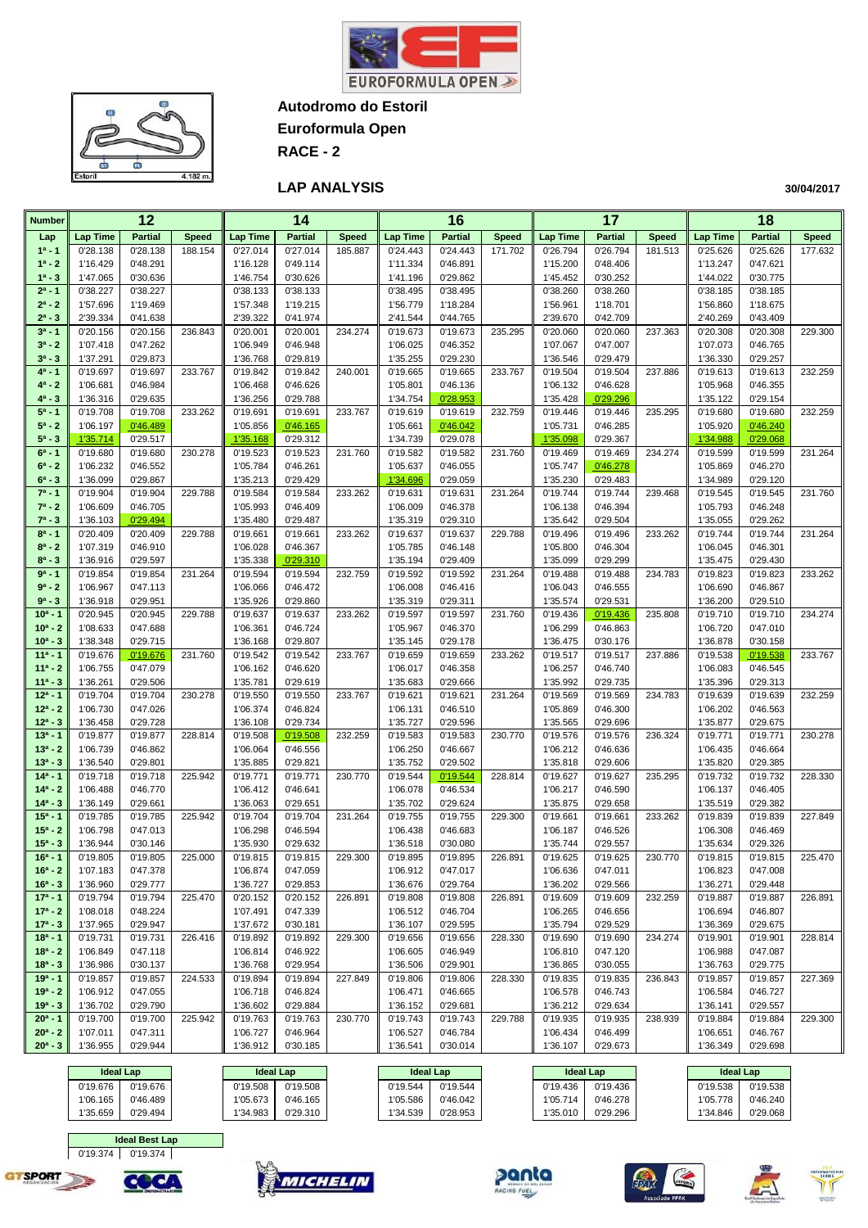



**Euroformula Open**

**RACE - 2**

#### **LAP ANALYSIS**

**30/04/2017**

| <b>Number</b>            |                      | 12                   |              |                      | 14                   |              |                      | 16                   |              |                      | 17                   |              |                      | 18                   |              |
|--------------------------|----------------------|----------------------|--------------|----------------------|----------------------|--------------|----------------------|----------------------|--------------|----------------------|----------------------|--------------|----------------------|----------------------|--------------|
| Lap                      | <b>Lap Time</b>      | <b>Partial</b>       | <b>Speed</b> | <b>Lap Time</b>      | <b>Partial</b>       | <b>Speed</b> | Lap Time             | <b>Partial</b>       | <b>Speed</b> | <b>Lap Time</b>      | <b>Partial</b>       | <b>Speed</b> | <b>Lap Time</b>      | <b>Partial</b>       | <b>Speed</b> |
| $1^a - 1$                | 0'28.138             | 0'28.138             | 188.154      | 0'27.014             | 0'27.014             | 185.887      | 0'24.443             | 0'24.443             | 171.702      | 0'26.794             | 0'26.794             | 181.513      | 0'25.626             | 0'25.626             | 177.632      |
| $1^a - 2$                | 1'16.429             | 0'48.291             |              | 1'16.128             | 0'49.114             |              | 1'11.334             | 0'46.891             |              | 1'15.200             | 0'48.406             |              | 1'13.247             | 0'47.621             |              |
| $1^a - 3$                | 1'47.065             | 0'30.636             |              | 1'46.754             | 0'30.626             |              | 1'41.196             | 0'29.862             |              | 1'45.452             | 0'30.252             |              | 1'44.022             | 0'30.775             |              |
| $2^a - 1$                | 0'38.227             | 0'38.227             |              | 0'38.133             | 0'38.133             |              | 0'38.495             | 0'38.495             |              | 0'38.260             | 0'38.260             |              | 0'38.185             | 0'38.185             |              |
| $2^a - 2$                | 1'57.696             | 1'19.469             |              | 1'57.348             | 1'19.215             |              | 1'56.779             | 1'18.284             |              | 1'56.961             | 1'18.701             |              | 1'56.860             | 1'18.675             |              |
| $2^a - 3$<br>$3^a - 1$   | 2'39.334<br>0'20.156 | 0'41.638<br>0'20.156 | 236.843      | 2'39.322<br>0'20.001 | 0'41.974<br>0'20.001 | 234.274      | 2'41.544<br>0'19.673 | 0'44.765<br>0'19.673 | 235.295      | 2'39.670<br>0'20.060 | 0'42.709<br>0'20.060 | 237.363      | 2'40.269<br>0'20.308 | 0'43.409<br>0'20.308 | 229.300      |
| $3^a - 2$                | 1'07.418             | 0'47.262             |              | 1'06.949             | 0'46.948             |              | 1'06.025             | 0'46.352             |              | 1'07.067             | 0'47.007             |              | 1'07.073             | 0'46.765             |              |
| $3^a - 3$                | 1'37.291             | 0'29.873             |              | 1'36.768             | 0'29.819             |              | 1'35.255             | 0'29.230             |              | 1'36.546             | 0'29.479             |              | 1'36.330             | 0'29.257             |              |
| $4^a - 1$                | 0'19.697             | 0'19.697             | 233.767      | 0'19.842             | 0'19.842             | 240.001      | 0'19.665             | 0'19.665             | 233.767      | 0'19.504             | 0'19.504             | 237.886      | 0'19.613             | 0'19.613             | 232.259      |
| 4ª - 2                   | 1'06.681             | 0'46.984             |              | 1'06.468             | 0'46.626             |              | 1'05.801             | 0'46.136             |              | 1'06.132             | 0'46.628             |              | 1'05.968             | 0'46.355             |              |
| $4^a - 3$                | 1'36.316             | 0'29.635             |              | 1'36.256             | 0'29.788             |              | 1'34.754             | 0'28.953             |              | 1'35.428             | 0'29.296             |              | 1'35.122             | 0'29.154             |              |
| $5^a - 1$                | 0'19.708             | 0'19.708             | 233.262      | 0'19.691             | 0'19.691             | 233.767      | 0'19.619             | 0'19.619             | 232.759      | 0'19.446             | 0'19.446             | 235.295      | 0'19.680             | 0'19.680             | 232.259      |
| $5^a - 2$                | 1'06.197             | 0'46.489             |              | 1'05.856             | 0'46.165             |              | 1'05.661             | 0'46.042             |              | 1'05.731             | 0'46.285             |              | 1'05.920             | 0'46.240             |              |
| $5^a - 3$                | 1'35.714             | 0'29.517             |              | 1'35.168             | 0'29.312             |              | 1'34.739             | 0'29.078             |              | 1'35.098             | 0'29.367             |              | 1'34.988             | 0'29.068             |              |
| $6^a - 1$                | 0'19.680             | 0'19.680             | 230.278      | 0'19.523             | 0'19.523             | 231.760      | 0'19.582             | 0'19.582             | 231.760      | 0'19.469             | 0'19.469             | 234.274      | 0'19.599             | 0'19.599             | 231.264      |
| $6^a - 2$                | 1'06.232             | 0'46.552             |              | 1'05.784             | 0'46.261             |              | 1'05.637             | 0'46.055             |              | 1'05.747             | 0'46.278             |              | 1'05.869             | 0'46.270             |              |
| $6^a - 3$<br>$7^a - 1$   | 1'36.099<br>0'19.904 | 0'29.867<br>0'19.904 | 229.788      | 1'35.213<br>0'19.584 | 0'29.429<br>0'19.584 | 233.262      | 1'34.696<br>0'19.631 | 0'29.059<br>0'19.631 | 231.264      | 1'35.230<br>0'19.744 | 0'29.483<br>0'19.744 | 239.468      | 1'34.989<br>0'19.545 | 0'29.120<br>0'19.545 | 231.760      |
| $7^a - 2$                | 1'06.609             | 0'46.705             |              | 1'05.993             | 0'46.409             |              | 1'06.009             | 0'46.378             |              | 1'06.138             | 0'46.394             |              | 1'05.793             | 0'46.248             |              |
| $7^a - 3$                | 1'36.103             | 0'29.494             |              | 1'35.480             | 0'29.487             |              | 1'35.319             | 0'29.310             |              | 1'35.642             | 0'29.504             |              | 1'35.055             | 0'29.262             |              |
| $8^a - 1$                | 0'20.409             | 0'20.409             | 229.788      | 0'19.661             | 0'19.661             | 233.262      | 0'19.637             | 0'19.637             | 229.788      | 0'19.496             | 0'19.496             | 233.262      | 0'19.744             | 0'19.744             | 231.264      |
| $8^a - 2$                | 1'07.319             | 0'46.910             |              | 1'06.028             | 0'46.367             |              | 1'05.785             | 0'46.148             |              | 1'05.800             | 0'46.304             |              | 1'06.045             | 0'46.301             |              |
| $8^a - 3$                | 1'36.916             | 0'29.597             |              | 1'35.338             | 0'29.310             |              | 1'35.194             | 0'29.409             |              | 1'35.099             | 0'29.299             |              | 1'35.475             | 0'29.430             |              |
| $9a - 1$                 | 0'19.854             | 0'19.854             | 231.264      | 0'19.594             | 0'19.594             | 232.759      | 0'19.592             | 0'19.592             | 231.264      | 0'19.488             | 0'19.488             | 234.783      | 0'19.823             | 0'19.823             | 233.262      |
| $9^a - 2$                | 1'06.967             | 0'47.113             |              | 1'06.066             | 0'46.472             |              | 1'06.008             | 0'46.416             |              | 1'06.043             | 0'46.555             |              | 1'06.690             | 0'46.867             |              |
| $9^a - 3$                | 1'36.918             | 0'29.951             |              | 1'35.926             | 0'29.860             |              | 1'35.319             | 0'29.311             |              | 1'35.574             | 0'29.531             |              | 1'36.200             | 0'29.510             |              |
| $10^a - 1$               | 0'20.945             | 0'20.945             | 229.788      | 0'19.637             | 0'19.637             | 233.262      | 0'19.597             | 0'19.597             | 231.760      | 0'19.436             | 0'19.436             | 235.808      | 0'19.710             | 0'19.710             | 234.274      |
| $10^a - 2$<br>$10^a - 3$ | 1'08.633<br>1'38.348 | 0'47.688<br>0'29.715 |              | 1'06.361<br>1'36.168 | 0'46.724<br>0'29.807 |              | 1'05.967             | 0'46.370<br>0'29.178 |              | 1'06.299<br>1'36.475 | 0'46.863<br>0'30.176 |              | 1'06.720<br>1'36.878 | 0'47.010<br>0'30.158 |              |
| $11a - 1$                | 0'19.676             | 0'19.676             | 231.760      | 0'19.542             | 0'19.542             | 233.767      | 1'35.145<br>0'19.659 | 0'19.659             | 233.262      | 0'19.517             | 0'19.517             | 237.886      | 0'19.538             | 0'19.538             | 233.767      |
| $11a - 2$                | 1'06.755             | 0'47.079             |              | 1'06.162             | 0'46.620             |              | 1'06.017             | 0'46.358             |              | 1'06.257             | 0'46.740             |              | 1'06.083             | 0'46.545             |              |
| $11a - 3$                | 1'36.261             | 0'29.506             |              | 1'35.781             | 0'29.619             |              | 1'35.683             | 0'29.666             |              | 1'35.992             | 0'29.735             |              | 1'35.396             | 0'29.313             |              |
| $12a - 1$                | 0'19.704             | 0'19.704             | 230.278      | 0'19.550             | 0'19.550             | 233.767      | 0'19.621             | 0'19.621             | 231.264      | 0'19.569             | 0'19.569             | 234.783      | 0'19.639             | 0'19.639             | 232.259      |
| $12^a - 2$               | 1'06.730             | 0'47.026             |              | 1'06.374             | 0'46.824             |              | 1'06.131             | 0'46.510             |              | 1'05.869             | 0'46.300             |              | 1'06.202             | 0'46.563             |              |
| $12^a - 3$               | 1'36.458             | 0'29.728             |              | 1'36.108             | 0'29.734             |              | 1'35.727             | 0'29.596             |              | 1'35.565             | 0'29.696             |              | 1'35.877             | 0'29.675             |              |
| $13a - 1$                | 0'19.877             | 0'19.877             | 228.814      | 0'19.508             | 0'19.508             | 232.259      | 0'19.583             | 0'19.583             | 230.770      | 0'19.576             | 0'19.576             | 236.324      | 0'19.771             | 0'19.771             | 230.278      |
| $13a - 2$                | 1'06.739             | 0'46.862             |              | 1'06.064             | 0'46.556             |              | 1'06.250             | 0'46.667             |              | 1'06.212             | 0'46.636             |              | 1'06.435             | 0'46.664             |              |
| $13^a - 3$<br>$14a - 1$  | 1'36.540             | 0'29.801             |              | 1'35.885             | 0'29.821             |              | 1'35.752             | 0'29.502             |              | 1'35.818             | 0'29.606<br>0'19.627 |              | 1'35.820             | 0'29.385             |              |
| $14a - 2$                | 0'19.718<br>1'06.488 | 0'19.718<br>0'46.770 | 225.942      | 0'19.771<br>1'06.412 | 0'19.771<br>0'46.641 | 230.770      | 0'19.544<br>1'06.078 | 0'19.544<br>0'46.534 | 228.814      | 0'19.627<br>1'06.217 | 0'46.590             | 235.295      | 0'19.732<br>1'06.137 | 0'19.732<br>0'46.405 | 228.330      |
| $14a - 3$                | 1'36.149             | 0'29.661             |              | 1'36.063             | 0'29.651             |              | 1'35.702             | 0'29.624             |              | 1'35.875             | 0'29.658             |              | 1'35.519             | 0'29.382             |              |
| $15a - 1$                | 0'19.785             | 0'19.785             | 225.942      | 0'19.704             | 0'19.704             | 231.264      | 0'19.755             | 0'19.755             | 229.300      | 0'19.661             | 0'19.661             | 233.262      | 0'19.839             | 0'19.839             | 227.849      |
| $15^a - 2$               | 1'06.798             | 0'47.013             |              | 1'06.298             | 0'46.594             |              | 1'06.438             | 0'46.683             |              | 1'06.187             | 0'46.526             |              | 1'06.308             | 0'46.469             |              |
| $15^a - 3$               | 1'36.944             | 0'30.146             |              | 1'35.930             | 0'29.632             |              | 1'36.518             | 0'30.080             |              | 1'35.744             | 0'29.557             |              | 1'35.634             | 0'29.326             |              |
| $16a - 1$                | 0'19.805             | 0'19.805             | 225.000      | 0'19.815             | 0'19.815             | 229.300      | 0'19.895             | 0'19.895             | 226.891      | 0'19.625             | 0'19.625             | 230.770      | 0'19.815             | 0'19.815             | 225.470      |
| $16^a - 2$               | 1'07.183             | 0'47.378             |              | 1'06.874             | 0'47.059             |              | 1'06.912             | 0'47.017             |              | 1'06.636             | 0'47.011             |              | 1'06.823             | 0'47.008             |              |
| $16^a - 3$               | 1'36.960             | 0'29.777             |              | 1'36.727             | 0'29.853             |              | 1'36.676             | 0'29.764             |              | 1'36.202             | 0'29.566             |              | 1'36.271             | 0'29.448             |              |
| $17a - 1$                | 0'19.794             | 0'19.794             | 225.470      | 0'20.152             | 0'20.152             | 226.891      | 0'19.808             | 0'19.808             | 226.891      | 0'19.609             | 0'19.609             | 232.259      | 0'19.887             | 0'19.887             | 226.891      |
| $17a - 2$                | 1'08.018             | 0'48.224             |              | 1'07.491             | 0'47.339             |              | 1'06.512             | 0'46.704             |              | 1'06.265             | 0'46.656             |              | 1'06.694             | 0'46.807             |              |
| $17^a - 3$<br>$18a - 1$  | 1'37.965<br>0'19.731 | 0'29.947<br>0'19.731 | 226.416      | 1'37.672<br>0'19.892 | 0'30.181<br>0'19.892 | 229.300      | 1'36.107<br>0'19.656 | 0'29.595<br>0'19.656 | 228.330      | 1'35.794<br>0'19.690 | 0'29.529<br>0'19.690 | 234.274      | 1'36.369<br>0'19.901 | 0'29.675<br>0'19.901 | 228.814      |
| $18a - 2$                | 1'06.849             | 0'47.118             |              | 1'06.814             | 0'46.922             |              | 1'06.605             | 0'46.949             |              | 1'06.810             | 0'47.120             |              | 1'06.988             | 0'47.087             |              |
| $18a - 3$                | 1'36.986             | 0'30.137             |              | 1'36.768             | 0'29.954             |              | 1'36.506             | 0'29.901             |              | 1'36.865             | 0'30.055             |              | 1'36.763             | 0'29.775             |              |
| $19a - 1$                | 0'19.857             | 0'19.857             | 224.533      | 0'19.894             | 0'19.894             | 227.849      | 0'19.806             | 0'19.806             | 228.330      | 0'19.835             | 0'19.835             | 236.843      | 0'19.857             | 0'19.857             | 227.369      |
| $19a - 2$                | 1'06.912             | 0'47.055             |              | 1'06.718             | 0'46.824             |              | 1'06.471             | 0'46.665             |              | 1'06.578             | 0'46.743             |              | 1'06.584             | 0'46.727             |              |
| $19a - 3$                | 1'36.702             | 0'29.790             |              | 1'36.602             | 0'29.884             |              | 1'36.152             | 0'29.681             |              | 1'36.212             | 0'29.634             |              | 1'36.141             | 0'29.557             |              |
| $20^a - 1$               | 0'19.700             | 0'19.700             | 225.942      | 0'19.763             | 0'19.763             | 230.770      | 0'19.743             | 0'19.743             | 229.788      | 0'19.935             | 0'19.935             | 238.939      | 0'19.884             | 0'19.884             | 229.300      |
| $20^a - 2$               | 1'07.011             | 0'47.311             |              | 1'06.727             | 0'46.964             |              | 1'06.527             | 0'46.784             |              | 1'06.434             | 0'46.499             |              | 1'06.651             | 0'46.767             |              |
| $20^a - 3$               | 1'36.955             | 0'29.944             |              | 1'36.912             | 0'30.185             |              | 1'36.541             | 0'30.014             |              | 1'36.107             | 0'29.673             |              | 1'36.349             | 0'29.698             |              |
|                          | ne Lleobl            |                      |              | <b>Solution</b>      |                      |              | <b>The Leaker</b>    |                      |              | ldeal Lee            |                      |              | <b>The Leaker</b>    |                      |              |

| <b>Ideal Lap</b> |          | <b>Ideal Lap</b> |          | <b>Ideal Lap</b> |          |          | <b>Ideal Lap</b> | <b>Ideal Lap</b> |          |
|------------------|----------|------------------|----------|------------------|----------|----------|------------------|------------------|----------|
| 0'19.676         | 0'19.676 | 0'19.508         | 0'19.508 | 0'19.544         | 0'19.544 | 0'19.436 | 0'19.436         | 0'19.538         | 0'19.538 |
| 1'06.165         | 0'46.489 | 1'05.673         | 0'46.165 | 1'05.586         | 0'46.042 | "05.714" | 0'46.278         | 1'05.778         | 0'46.240 |
| 1'35.659         | 0'29.494 | 1'34.983         | 0'29.310 | 1'34.539         | 0'28.953 | 1'35.010 | 0'29.296         | 1'34.846         | 0'29.068 |



COC/











71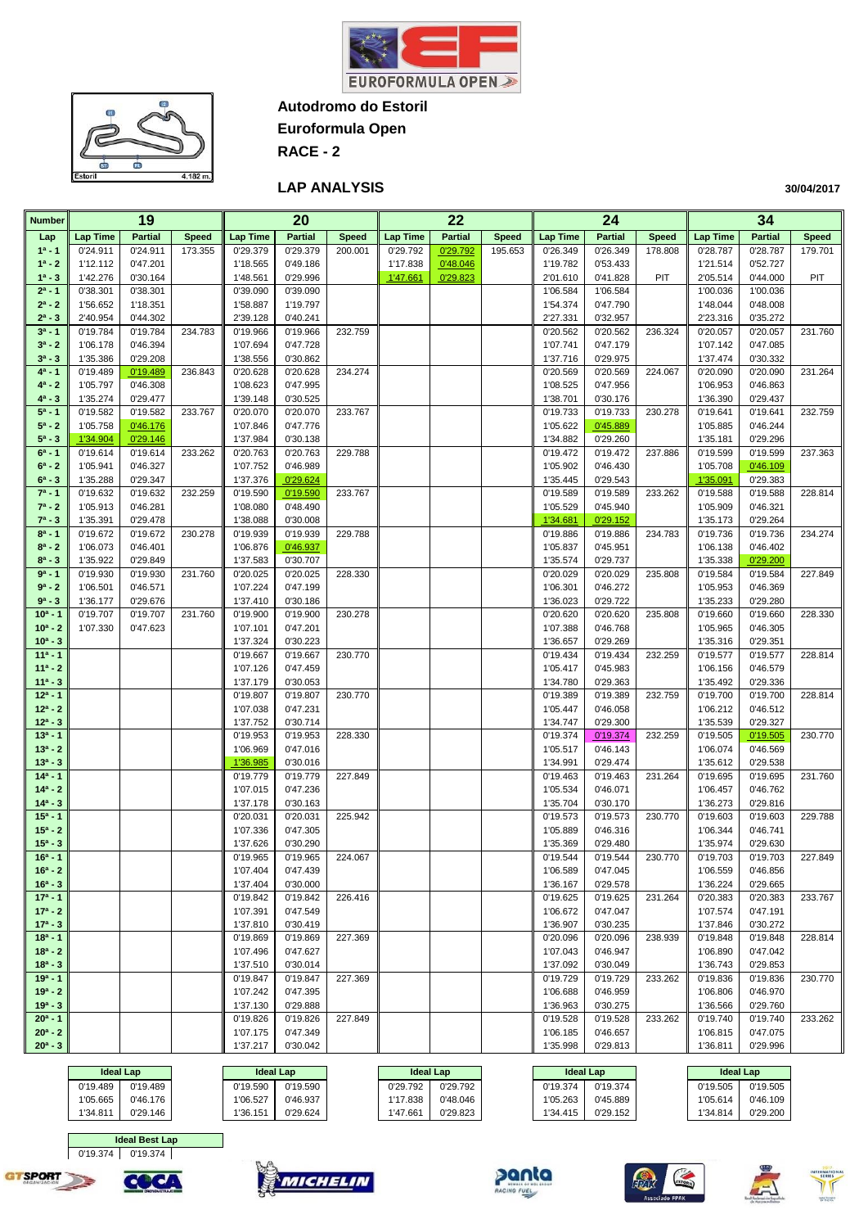



**Euroformula Open**

**RACE - 2**

### **LAP ANALYSIS**

| <b>Number</b>           |                      | 19                   |              |                      | 20                   |              |                 | 22             |              |                      | 24                   |              |                      | 34                   |              |
|-------------------------|----------------------|----------------------|--------------|----------------------|----------------------|--------------|-----------------|----------------|--------------|----------------------|----------------------|--------------|----------------------|----------------------|--------------|
| Lap                     | <b>Lap Time</b>      | <b>Partial</b>       | <b>Speed</b> | <b>Lap Time</b>      | <b>Partial</b>       | <b>Speed</b> | <b>Lap Time</b> | <b>Partial</b> | <b>Speed</b> | <b>Lap Time</b>      | <b>Partial</b>       | <b>Speed</b> | <b>Lap Time</b>      | <b>Partial</b>       | <b>Speed</b> |
| $1a - 1$                | 0'24.911             | 0'24.911             | 173.355      | 0'29.379             | 0'29.379             | 200.001      | 0'29.792        | 0'29.792       | 195.653      | 0'26.349             | 0'26.349             | 178.808      | 0'28.787             | 0'28.787             | 179.701      |
| $1^a - 2$               | 1'12.112             | 0'47.201             |              | 1'18.565             | 0'49.186             |              | 1'17.838        | 0'48.046       |              | 1'19.782             | 0'53.433             |              | 1'21.514             | 0'52.727             |              |
| $1^a - 3$               | 1'42.276             | 0'30.164             |              | 1'48.561             | 0'29.996             |              | 1'47.661        | 0'29.823       |              | 2'01.610             | 0'41.828             | PIT          | 2'05.514             | 0'44.000             | PIT          |
| $2^a - 1$               | 0'38.301             | 0'38.301             |              | 0'39.090             | 0'39.090             |              |                 |                |              | 1'06.584             | 1'06.584             |              | 1'00.036             | 1'00.036             |              |
| $2^a - 2$               | 1'56.652             | 1'18.351             |              | 1'58.887             | 1'19.797             |              |                 |                |              | 1'54.374             | 0'47.790             |              | 1'48.044             | 0'48.008             |              |
| $2^a - 3$               | 2'40.954             | 0'44.302             |              | 2'39.128             | 0'40.241             |              |                 |                |              | 2'27.331             | 0'32.957             |              | 2'23.316             | 0'35.272             |              |
| $3^a - 1$               | 0'19.784             | 0'19.784             | 234.783      | 0'19.966             | 0'19.966             | 232.759      |                 |                |              | 0'20.562             | 0'20.562             | 236.324      | 0'20.057             | 0'20.057             | 231.760      |
| $3^a - 2$               | 1'06.178             | 0'46.394             |              | 1'07.694             | 0'47.728             |              |                 |                |              | 1'07.741             | 0'47.179             |              | 1'07.142             | 0'47.085             |              |
| $3^{a} - 3$             | 1'35.386             | 0'29.208             |              | 1'38.556             | 0'30.862             |              |                 |                |              | 1'37.716             | 0'29.975             |              | 1'37.474             | 0'30.332             |              |
| $4^a - 1$<br>$4^a - 2$  | 0'19.489             | 0'19.489             | 236.843      | 0'20.628             | 0'20.628<br>0'47.995 | 234.274      |                 |                |              | 0'20.569             | 0'20.569             | 224.067      | 0'20.090             | 0'20.090             | 231.264      |
| $4^a - 3$               | 1'05.797<br>1'35.274 | 0'46.308<br>0'29.477 |              | 1'08.623<br>1'39.148 | 0'30.525             |              |                 |                |              | 1'08.525<br>1'38.701 | 0'47.956<br>0'30.176 |              | 1'06.953<br>1'36.390 | 0'46.863<br>0'29.437 |              |
| $5^a - 1$               | 0'19.582             | 0'19.582             | 233.767      | 0'20.070             | 0'20.070             | 233.767      |                 |                |              | 0'19.733             | 0'19.733             | 230.278      | 0'19.641             | 0'19.641             | 232.759      |
| $5^a - 2$               | 1'05.758             | 0'46.176             |              | 1'07.846             | 0'47.776             |              |                 |                |              | 1'05.622             | 0'45.889             |              | 1'05.885             | 0'46.244             |              |
| $5^a - 3$               | 1'34.904             | 0'29.146             |              | 1'37.984             | 0'30.138             |              |                 |                |              | 1'34.882             | 0'29.260             |              | 1'35.181             | 0'29.296             |              |
| $6^a - 1$               | 0'19.614             | 0'19.614             | 233.262      | 0'20.763             | 0'20.763             | 229.788      |                 |                |              | 0'19.472             | 0'19.472             | 237.886      | 0'19.599             | 0'19.599             | 237.363      |
| $6^a - 2$               | 1'05.941             | 0'46.327             |              | 1'07.752             | 0'46.989             |              |                 |                |              | 1'05.902             | 0'46.430             |              | 1'05.708             | 0'46.109             |              |
| $6^a - 3$               | 1'35.288             | 0'29.347             |              | 1'37.376             | 0'29.624             |              |                 |                |              | 1'35.445             | 0'29.543             |              | 1'35.091             | 0'29.383             |              |
| $7^a - 1$               | 0'19.632             | 0'19.632             | 232.259      | 0'19.590             | 0'19.590             | 233.767      |                 |                |              | 0'19.589             | 0'19.589             | 233.262      | 0'19.588             | 0'19.588             | 228.814      |
| $7^a - 2$               | 1'05.913             | 0'46.281             |              | 1'08.080             | 0'48.490             |              |                 |                |              | 1'05.529             | 0'45.940             |              | 1'05.909             | 0'46.321             |              |
| $7^a - 3$               | 1'35.391             | 0'29.478             |              | 1'38.088             | 0'30.008             |              |                 |                |              | 1'34.681             | 0'29.152             |              | 1'35.173             | 0'29.264             |              |
| $8^a - 1$               | 0'19.672             | 0'19.672             | 230.278      | 0'19.939             | 0'19.939             | 229.788      |                 |                |              | 0'19.886             | 0'19.886             | 234.783      | 0'19.736             | 0'19.736             | 234.274      |
| $8^a - 2$               | 1'06.073             | 0'46.401             |              | 1'06.876             | 0'46.937             |              |                 |                |              | 1'05.837             | 0'45.951             |              | 1'06.138             | 0'46.402             |              |
| $8^a - 3$               | 1'35.922             | 0'29.849             |              | 1'37.583             | 0'30.707             |              |                 |                |              | 1'35.574             | 0'29.737             |              | 1'35.338             | 0'29.200             |              |
| $9a - 1$                | 0'19.930             | 0'19.930             | 231.760      | 0'20.025             | 0'20.025             | 228.330      |                 |                |              | 0'20.029             | 0'20.029             | 235.808      | 0'19.584             | 0'19.584             | 227.849      |
| $9a - 2$                | 1'06.501             | 0'46.571             |              | 1'07.224             | 0'47.199             |              |                 |                |              | 1'06.301             | 0'46.272             |              | 1'05.953             | 0'46.369             |              |
| $9a - 3$                | 1'36.177             | 0'29.676             |              | 1'37.410             | 0'30.186             |              |                 |                |              | 1'36.023             | 0'29.722             |              | 1'35.233             | 0'29.280             |              |
| $10a - 1$               | 0'19.707             | 0'19.707             | 231.760      | 0'19.900             | 0'19.900             | 230.278      |                 |                |              | 0'20.620             | 0'20.620<br>0'46.768 | 235.808      | 0'19.660             | 0'19.660             | 228.330      |
| $10a - 2$<br>$10^a - 3$ | 1'07.330             | 0'47.623             |              | 1'07.101<br>1'37.324 | 0'47.201<br>0'30.223 |              |                 |                |              | 1'07.388<br>1'36.657 | 0'29.269             |              | 1'05.965<br>1'35.316 | 0'46.305<br>0'29.351 |              |
| $11a - 1$               |                      |                      |              | 0'19.667             | 0'19.667             | 230.770      |                 |                |              | 0'19.434             | 0'19.434             | 232.259      | 0'19.577             | 0'19.577             | 228.814      |
| $11a - 2$               |                      |                      |              | 1'07.126             | 0'47.459             |              |                 |                |              | 1'05.417             | 0'45.983             |              | 1'06.156             | 0'46.579             |              |
| $11a - 3$               |                      |                      |              | 1'37.179             | 0'30.053             |              |                 |                |              | 1'34.780             | 0'29.363             |              | 1'35.492             | 0'29.336             |              |
| $12a - 1$               |                      |                      |              | 0'19.807             | 0'19.807             | 230.770      |                 |                |              | 0'19.389             | 0'19.389             | 232.759      | 0'19.700             | 0'19.700             | 228.814      |
| $12^a - 2$              |                      |                      |              | 1'07.038             | 0'47.231             |              |                 |                |              | 1'05.447             | 0'46.058             |              | 1'06.212             | 0'46.512             |              |
| $12^a - 3$              |                      |                      |              | 1'37.752             | 0'30.714             |              |                 |                |              | 1'34.747             | 0'29.300             |              | 1'35.539             | 0'29.327             |              |
| $13a - 1$               |                      |                      |              | 0'19.953             | 0'19.953             | 228.330      |                 |                |              | 0'19.374             | 0'19.374             | 232.259      | 0'19.505             | 0'19.505             | 230.770      |
| $13a - 2$               |                      |                      |              | 1'06.969             | 0'47.016             |              |                 |                |              | 1'05.517             | 0'46.143             |              | 1'06.074             | 0'46.569             |              |
| $13^a - 3$              |                      |                      |              | 1'36.985             | 0'30.016             |              |                 |                |              | 1'34.991             | 0'29.474             |              | 1'35.612             | 0'29.538             |              |
| $14a - 1$               |                      |                      |              | 0'19.779             | 0'19.779             | 227.849      |                 |                |              | 0'19.463             | 0'19.463             | 231.264      | 0'19.695             | 0'19.695             | 231.760      |
| $14a - 2$               |                      |                      |              | 1'07.015             | 0'47.236             |              |                 |                |              | 1'05.534             | 0'46.071             |              | 1'06.457             | 0'46.762             |              |
| $14^a - 3$<br>$15a - 1$ |                      |                      |              | 1'37.178<br>0'20.031 | 0'30.163<br>0'20.031 | 225.942      |                 |                |              | 1'35.704<br>0'19.573 | 0'30.170<br>0'19.573 | 230.770      | 1'36.273<br>0'19.603 | 0'29.816<br>0'19.603 | 229.788      |
| $15a - 2$               |                      |                      |              | 1'07.336             | 0'47.305             |              |                 |                |              | 1'05.889             | 0'46.316             |              | 1'06.344             | 0'46.741             |              |
| $15^a - 3$              |                      |                      |              | 1'37.626             | 0'30.290             |              |                 |                |              | 1'35.369             | 0'29.480             |              | 1'35.974             | 0'29.630             |              |
| $16a - 1$               |                      |                      |              | 0'19.965             | 0'19.965             | 224.067      |                 |                |              | 0'19.544             | 0'19.544             | 230.770      | 0'19.703             | 0'19.703             | 227.849      |
| $16^a - 2$              |                      |                      |              | 1'07.404             | 0'47.439             |              |                 |                |              | 1'06.589             | 0'47.045             |              | 1'06.559             | 0'46.856             |              |
| $16^a - 3$              |                      |                      |              | 1'37.404             | 0'30.000             |              |                 |                |              | 1'36.167             | 0'29.578             |              | 1'36.224             | 0'29.665             |              |
| $17a - 1$               |                      |                      |              | 0'19.842             | 0'19.842             | 226.416      |                 |                |              | 0'19.625             | 0'19.625             | 231.264      | 0'20.383             | 0'20.383             | 233.767      |
| $17a - 2$               |                      |                      |              | 1'07.391             | 0'47.549             |              |                 |                |              | 1'06.672             | 0'47.047             |              | 1'07.574             | 0'47.191             |              |
| $17a - 3$               |                      |                      |              | 1'37.810             | 0'30.419             |              |                 |                |              | 1'36.907             | 0'30.235             |              | 1'37.846             | 0'30.272             |              |
| $18a - 1$               |                      |                      |              | 0'19.869             | 0'19.869             | 227.369      |                 |                |              | 0'20.096             | 0'20.096             | 238.939      | 0'19.848             | 0'19.848             | 228.814      |
| $18a - 2$               |                      |                      |              | 1'07.496             | 0'47.627             |              |                 |                |              | 1'07.043             | 0'46.947             |              | 1'06.890             | 0'47.042             |              |
| $18a - 3$               |                      |                      |              | 1'37.510             | 0'30.014             |              |                 |                |              | 1'37.092             | 0'30.049             |              | 1'36.743             | 0'29.853             |              |
| $19a - 1$               |                      |                      |              | 0'19.847             | 0'19.847             | 227.369      |                 |                |              | 0'19.729             | 0'19.729             | 233.262      | 0'19.836             | 0'19.836             | 230.770      |
| $19a - 2$<br>$19a - 3$  |                      |                      |              | 1'07.242<br>1'37.130 | 0'47.395<br>0'29.888 |              |                 |                |              | 1'06.688<br>1'36.963 | 0'46.959<br>0'30.275 |              | 1'06.806<br>1'36.566 | 0'46.970<br>0'29.760 |              |
| $20^a - 1$              |                      |                      |              | 0'19.826             | 0'19.826             | 227.849      |                 |                |              | 0'19.528             | 0'19.528             | 233.262      | 0'19.740             | 0'19.740             | 233.262      |
| $20^a - 2$              |                      |                      |              | 1'07.175             | 0'47.349             |              |                 |                |              | 1'06.185             | 0'46.657             |              | 1'06.815             | 0'47.075             |              |
| $20^a - 3$              |                      |                      |              | 1'37.217             | 0'30.042             |              |                 |                |              | 1'35.998             | 0'29.813             |              | 1'36.811             | 0'29.996             |              |
|                         |                      |                      |              |                      |                      |              |                 |                |              |                      |                      |              |                      |                      |              |

|          | <b>Ideal Lap</b> |          | <b>Ideal Lap</b> |  | <b>Ideal Lap</b> |          | <b>Ideal Lap</b> |          |          | <b>Ideal Lap</b> |
|----------|------------------|----------|------------------|--|------------------|----------|------------------|----------|----------|------------------|
| 0'19.489 | 0'19.489         | 0'19.590 | 0'19.590         |  | 0'29.792         | 0'29.792 | 0'19.374         | 0'19.374 | 0'19.505 | 0'19.505         |
| 1'05.665 | 0'46.176         | 1'06.527 | 0'46.937         |  | 1'17.838         | 0'48.046 | 1'05.263         | 0'45.889 | 1'05.614 | 0'46.109         |
| 1'34.81' | 0'29.146         | 1'36.151 | 0'29.624         |  | 1'47.661         | 0'29.823 | 1'34.415         | 0'29.152 | 1'34.814 | 0'29.200         |



**COC/** 











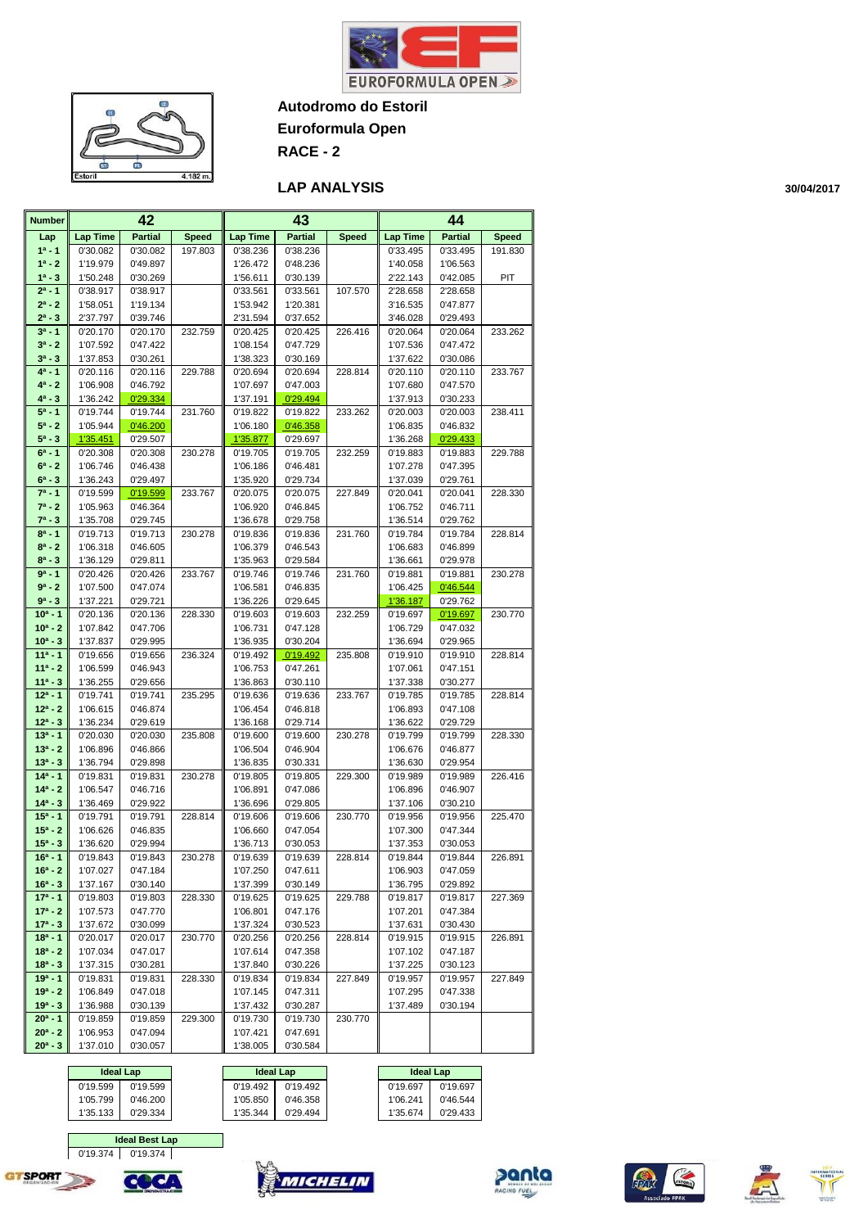



**Euroformula Open**

**RACE - 2**

#### **LAP ANALYSIS**

**Number Lap 1ª - 1 1ª - 2 1ª - 3**  $2^a - 1$  **2ª - 2 2ª - 3 3ª - 1 3ª - 2 3ª - 3 4ª - 1 4ª - 2 4ª - 3 5ª - 1 5ª - 2 5ª - 3 6ª - 1 6ª - 2 6ª - 3 7ª - 1 7ª - 2 7ª - 3 8ª - 1 8ª - 2 8ª - 3 9ª - 1 9ª - 2 9ª - 3 10ª - 1 10ª - 2 10ª - 3 11ª - 1 11ª - 2 11ª - 3 12ª - 1 12ª - 2 12ª - 3 13ª - 1 13ª - 2 13ª - 3 14ª - 1 14ª - 2 14ª - 3 15ª - 1 15ª - 2 15ª - 3 16ª - 1 16ª - 2 16ª - 3 17ª - 1 17ª - 2 17ª - 3 18ª - 1 18ª - 2 18ª - 3 19ª - 1 19ª - 2 19ª - 3 20ª - 1 20ª - 2 20ª - 3 Lap Time Partial Speed Lap Time Partial Speed Lap Time Partial Speed**  0'30.082 | 0'30.082 | 197.803 || 0'38.236 | 0'38.236 | 0'33.495 | 0'33.495 | 191.830 1'19.979 0'49.897 1'26.472 0'48.236 1'40.058 1'06.563 1'50.248 0'30.269 1'56.611 0'30.139 2'22.143 0'42.085 PIT 0'38.917 | 0'38.917 | | 0'33.561 | 0'33.561 | 107.570 || 2'28.658 | 2'28.658 1'58.051 1'19.134 1'53.942 1'20.381 3'16.535 0'47.877 2'37.797 | 0'39.746 | 2'31.594 | 0'37.652 | 3'46.028 | 0'29.493 0'20.170 | 0'20.170 | 232.759 | 0'20.425 | 0'20.425 | 226.416 | 0'20.064 | 0'20.064 | 233.262 1'07.592 0'47.422 1'08.154 0'47.729 1'07.536 0'47.472 1'37.853 0'30.261 1'38.323 0'30.169 1'37.622 0'30.086 0'20.116 | 0'20.116 | 229.788 || 0'20.694 | 0'20.694 | 228.814 || 0'20.110 | 0'20.110 | 233.767 1'06.908 | 0'46.792 | 1'07.697 | 0'47.003 | 1'07.680 | 0'47.570 1'36.242 <mark>0'29.334</mark> 1'37.191 0'29.494 1'37.913 0'30.233 0'19.744 | 0'19.744 | 231.760 || 0'19.822 | 0'19.822 | 233.262 || 0'20.003 | 0'20.003 | 238.411 1'05.944 0'46.200 1'06.180 0'46.358 1'06.835 0'46.832 1'35.451 0'29.507 1'35.877 0'29.697 1'36.268 0'29.433 0'20.308 | 0'20.308 | 230.278 || 0'19.705 | 0'19.705 | 232.259 || 0'19.883 | 0'19.883 | 229.788 1'06.746 0'46.438 1'06.186 0'46.481 1'07.278 0'47.395 1'36.243 0'29.497 1'35.920 0'29.734 1'37.039 0'29.761 0'19.599 0'19.599 233.767 0'20.075 0'20.075 227.849 0'20.041 0'20.041 228.330 1'05.963 0'46.364 1'06.920 0'46.845 1'06.752 0'46.711 1'35.708 0'29.745 1'36.678 0'29.758 1'36.514 0'29.762 0'19.713 | 0'19.713 | 230.278 || 0'19.836 | 0'19.836 | 231.760 || 0'19.784 | 0'19.784 | 228.814 1'06.318 0'46.605 1'06.379 0'46.543 1'06.683 0'46.899 1'36.129 0'29.811 1'35.963 0'29.584 1'36.661 0'29.978 0'20.426 | 0'20.426 | 233.767 || 0'19.746 | 0'19.746 | 231.760 || 0'19.881 | 0'19.881 | 230.278 1'07.500 | 0'47.074 | 1'06.581 | 0'46.835 | 1'06.425 <mark>| 0'46.544</mark> 1'37.221 0'29.721 1'36.226 0'29.645 1'36.187 0'29.762 0'20.136 | 0'20.136 | 228.330 || 0'19.603 | 0'19.603 | 232.259 || 0'19.697 | 0'19.697 | 230.770 1'07.842 0'47.706 1'06.731 0'47.128 1'06.729 0'47.032 1'37.837 0'29.995 1'36.935 0'30.204 1'36.694 0'29.965 0'19.656 | 0'19.656 | 236.324 || 0'19.492 | 0'19.492 | 235.808 || 0'19.910 | 0'19.910 | 228.814 1'06.599 0'46.943 1'06.753 0'47.261 1'07.061 0'47.151 1'36.255 | 0'29.656 | | 1'36.863 | 0'30.110 | | 1'37.338 | 0'30.277 0'19.741 | 0'19.741 | 235.295 || 0'19.636 | 0'19.636 | 233.767 || 0'19.785 | 0'19.785 | 228.814 1'06.615 0'46.874 1'06.454 0'46.818 1'06.893 0'47.108 1'36.234 0'29.619 1'36.168 0'29.714 1'36.622 0'29.729 0'20.030 | 0'20.030 | 235.808 || 0'19.600 | 0'19.600 | 230.278 || 0'19.799 | 0'19.799 | 228.330 1'06.896 0'46.866 1'06.504 0'46.904 1'06.676 0'46.877 1'36.794 | 0'29.898 | | 1'36.835 | 0'30.331 | | 1'36.630 | 0'29.954 0'19.831 | 0'19.831 | 230.278 || 0'19.805 | 0'19.805 | 229.300 || 0'19.989 | 0'19.989 | 226.416 1'06.547 0'46.716 1'06.891 0'47.086 1'06.896 0'46.907 1'36.469 0'29.922 1'36.696 0'29.805 1'37.106 0'30.210 0'19.791 | 0'19.791 | 228.814 || 0'19.606 | 0'19.606 | 230.770 || 0'19.956 | 0'19.956 | 225.470 1'06.626 0'46.835 1'06.660 0'47.054 1'07.300 0'47.344 1'36.620 | 0'29.994 | 1'36.713 | 0'30.053 | 1'37.353 | 0'30.053 0'19.843 | 0'19.843 | 230.278 || 0'19.639 | 0'19.639 | 228.814 || 0'19.844 | 0'19.844 | 226.891 1'07.027 0'47.184 1'07.250 0'47.611 1'06.903 0'47.059 1'37.167 0'30.140 1'37.399 0'30.149 1'36.795 0'29.892 0'19.803 | 0'19.803 | 228.330 || 0'19.625 | 0'19.625 | 229.788 || 0'19.817 | 0'19.817 | 227.369 1'07.573 0'47.770 1'06.801 0'47.176 1'07.201 0'47.384 1'37.672 | 0'30.099 | 1'37.324 | 0'30.523 | 1'37.631 | 0'30.430 0'20.017 | 0'20.017 | 230.770 || 0'20.256 | 0'20.256 | 228.814 || 0'19.915 | 0'19.915 | 226.891 1'07.034 0'47.017 1'07.614 0'47.358 1'07.102 0'47.187 1'37.315 0'30.281 1'37.840 0'30.226 1'37.225 0'30.123 0'19.831 | 0'19.831 | 228.330 || 0'19.834 | 0'19.834 | 227.849 || 0'19.957 | 0'19.957 | 227.849 1'06.849 0'47.018 1'07.145 0'47.311 1'07.295 0'47.338 1'36.988 0'30.139 1'37.432 0'30.287 1'37.489 0'30.194 0'19.859 0'19.859 229.300 0'19.730 0'19.730 230.770 1'06.953 0'47.094 1'07.421 0'47.691 1'37.010 0'30.057 | 1'38.005 0'30.584 **42 43 44**

|          | <b>Ideal Lap</b> | <b>Ideal Lap</b> |          | <b>Ideal Lap</b> |          |
|----------|------------------|------------------|----------|------------------|----------|
| 0'19.599 | 0'19.599         | 0'19.492         | 0'19.492 | 0'19.697         | 0'19.697 |
| 1'05.799 | 0'46.200         | 1'05.850         | 0'46.358 | 1'06.241         | 0'46.544 |
| 1'35.133 | 0'29.334         | 1'35.344         | 0'29.494 | 1'35.674         | 0'29.433 |

 0'19.374 0'19.374 **Ideal Best Lap**

COC/









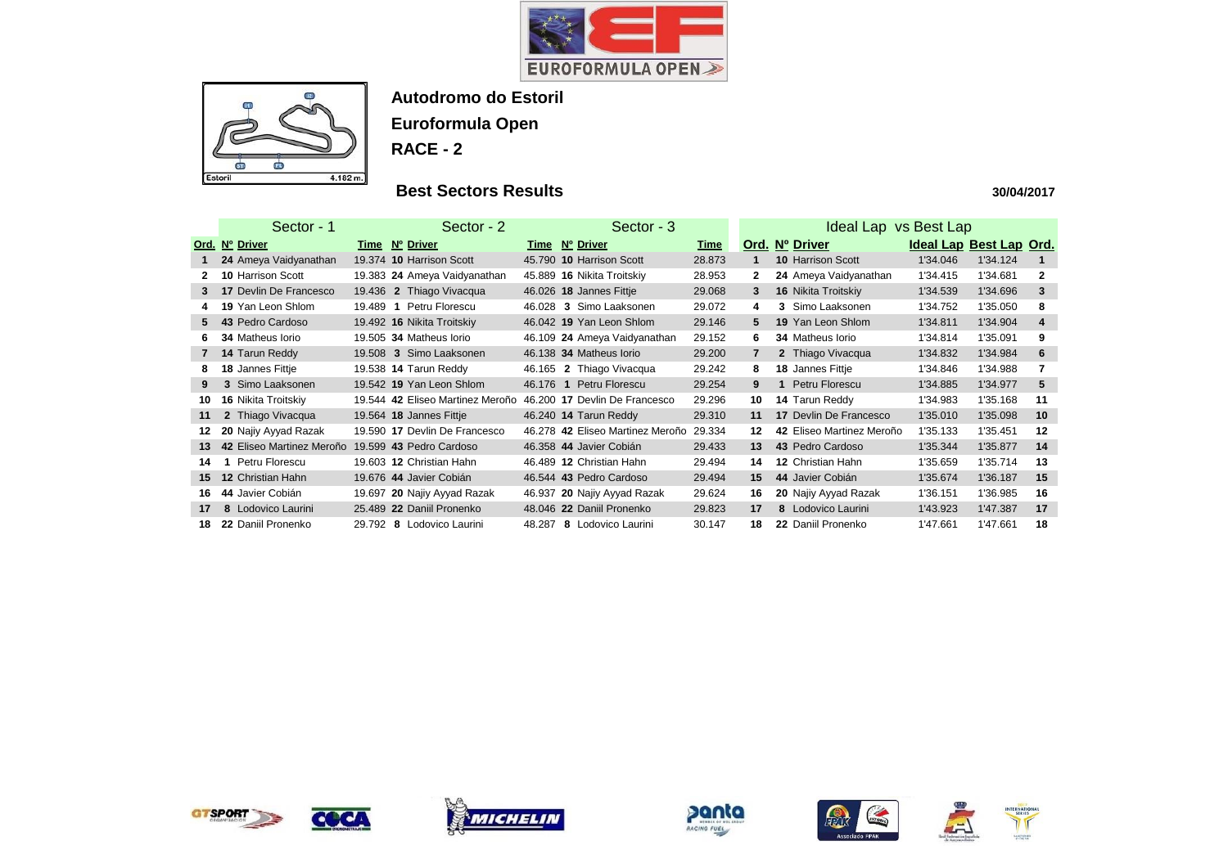



# **Best Sectors Results**

|              | Sector - 1                    | Sector - 2                              |                | Sector - 3                       |             |                | Ideal Lap vs Best Lap         |          |                         |                |
|--------------|-------------------------------|-----------------------------------------|----------------|----------------------------------|-------------|----------------|-------------------------------|----------|-------------------------|----------------|
|              | Ord. Nº Driver                | Time Nº Driver                          | Time Nº Driver |                                  | <u>Time</u> |                | Ord. Nº Driver                |          | Ideal Lap Best Lap Ord. |                |
|              | 24 Ameya Vaidyanathan         | 19.374 10 Harrison Scott                |                | 45.790 10 Harrison Scott         | 28.873      |                | <b>10 Harrison Scott</b>      | 1'34.046 | 1'34.124                |                |
|              | <b>10 Harrison Scott</b>      | 19.383 24 Ameya Vaidyanathan            |                | 45.889 16 Nikita Troitskiy       | 28.953      | $\mathbf{2}$   | 24 Ameya Vaidyanathan         | 1'34.415 | 1'34.681                | $\mathbf{2}$   |
| 3            | <b>17 Devlin De Francesco</b> | 19.436 2 Thiago Vivacqua                |                | 46.026 18 Jannes Fittje          | 29.068      | $\mathbf{3}$   | <b>16 Nikita Troitskiy</b>    | 1'34.539 | 1'34.696                | 3              |
|              | 19 Yan Leon Shlom             | Petru Florescu<br>19.489<br>$\mathbf 1$ |                | 46.028 3 Simo Laaksonen          | 29.072      | 4              | 3 Simo Laaksonen              | 1'34.752 | 1'35.050                | 8              |
| 5.           | 43 Pedro Cardoso              | 19.492 16 Nikita Troitskiy              |                | 46.042 19 Yan Leon Shlom         | 29.146      | 5              | 19 Yan Leon Shlom             | 1'34.811 | 1'34.904                | $\overline{4}$ |
|              | <b>34 Matheus lorio</b>       | 19.505 34 Matheus Iorio                 |                | 46.109 24 Ameya Vaidyanathan     | 29.152      | 6.             | 34 Matheus Iorio              | 1'34.814 | 1'35.091                | 9              |
| $\mathbf{7}$ | 14 Tarun Reddy                | 19.508 3 Simo Laaksonen                 |                | 46.138 34 Matheus Iorio          | 29.200      | $\overline{7}$ | 2 Thiago Vivacqua             | 1'34.832 | 1'34.984                | 6              |
| 8            | 18 Jannes Fittje              | 19.538 14 Tarun Reddy                   |                | 46.165 2 Thiago Vivacqua         | 29.242      | 8              | 18 Jannes Fittje              | 1'34.846 | 1'34.988                | $\overline{7}$ |
| 9            | 3 Simo Laaksonen              | 19.542 19 Yan Leon Shlom                |                | 46.176 1 Petru Florescu          | 29.254      | 9              | Petru Florescu<br>$\mathbf 1$ | 1'34.885 | 1'34.977                | 5              |
| 10           | <b>16 Nikita Troitskiy</b>    | 19.544 42 Eliseo Martinez Meroño        |                | 46.200 17 Devlin De Francesco    | 29.296      | 10             | 14 Tarun Reddy                | 1'34.983 | 1'35.168                | 11             |
| 11           | 2 Thiago Vivacqua             | 19.564 18 Jannes Fittje                 |                | 46.240 14 Tarun Reddy            | 29.310      | 11             | <b>17 Devlin De Francesco</b> | 1'35.010 | 1'35.098                | 10             |
|              | 20 Najiy Ayyad Razak          | 19.590 17 Devlin De Francesco           |                | 46.278 42 Eliseo Martinez Meroño | 29.334      | 12             | 42 Eliseo Martinez Meroño     | 1'35.133 | 1'35.451                | 12             |
| 13           | 42 Eliseo Martinez Meroño     | 19.599 43 Pedro Cardoso                 |                | 46.358 44 Javier Cobián          | 29.433      | 13             | 43 Pedro Cardoso              | 1'35.344 | 1'35.877                | 14             |
| 14           | Petru Florescu                | 19.603 12 Christian Hahn                |                | 46.489 12 Christian Hahn         | 29.494      | 14             | <b>12 Christian Hahn</b>      | 1'35.659 | 1'35.714                | 13             |
| 15           | <b>12 Christian Hahn</b>      | 19.676 44 Javier Cobián                 |                | 46.544 43 Pedro Cardoso          | 29.494      | 15             | 44 Javier Cobián              | 1'35.674 | 1'36.187                | 15             |
| 16           | 44 Javier Cobián              | 20 Najiy Ayyad Razak<br>19.697          |                | 46.937 20 Najiy Ayyad Razak      | 29.624      | 16             | 20 Najiy Ayyad Razak          | 1'36.151 | 1'36.985                | 16             |
| 17           | 8 Lodovico Laurini            | 25.489 22 Daniil Pronenko               |                | 48.046 22 Daniil Pronenko        | 29.823      | 17             | 8 Lodovico Laurini            | 1'43.923 | 1'47.387                | 17             |
| 18           | 22 Daniil Pronenko            | 29.792 8 Lodovico Laurini               | 48.287         | 8 Lodovico Laurini               | 30.147      | 18             | 22 Daniil Pronenko            | 1'47.661 | 1'47.661                | 18             |













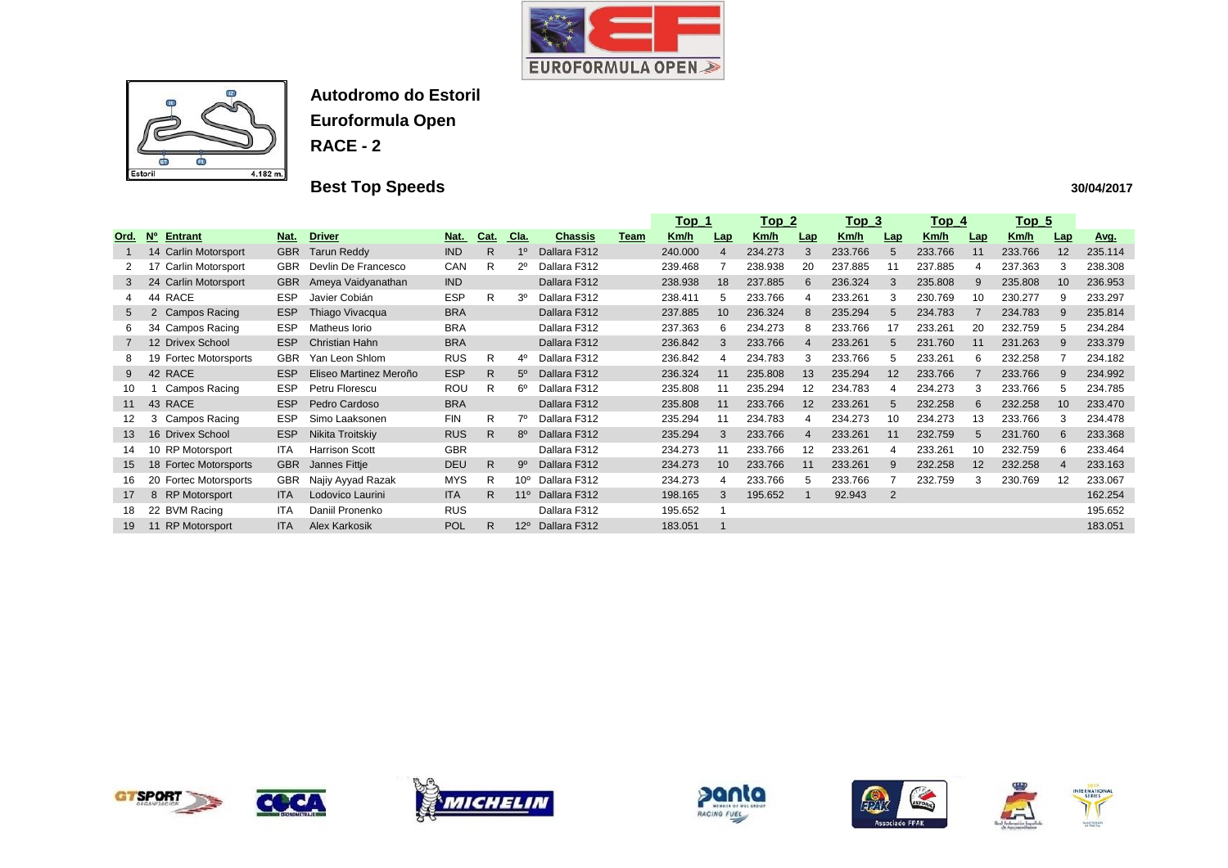



# **Best Top Speeds**

|                |                                  |            |                        |            |              |                 |                |      | <u>Top_1</u> |                 | $Top_2$     |            | Top <sub>3</sub> |                | <u>Top_4</u> |     | <u>Top_5</u> |     |         |
|----------------|----------------------------------|------------|------------------------|------------|--------------|-----------------|----------------|------|--------------|-----------------|-------------|------------|------------------|----------------|--------------|-----|--------------|-----|---------|
| Ord.           | N <sup>o</sup><br><b>Entrant</b> | Nat.       | <b>Driver</b>          | <u>Nat</u> | Cat.         | <u>Cla.</u>     | <b>Chassis</b> | Team | Km/h         | $Lap$           | <u>Km/h</u> | <u>Lap</u> | <u>Km/h</u>      | Lap            | <u>Km/h</u>  | Lap | Km/h         | Lap | Avg.    |
|                | 14 Carlin Motorsport             | <b>GBR</b> | <b>Tarun Reddy</b>     | <b>IND</b> | $\mathsf{R}$ |                 | Dallara F312   |      | 240.000      |                 | 234.273     |            | 233.766          | 5              | 233.766      | 11  | 233.766      | 12  | 235.114 |
|                | Carlin Motorsport                | <b>GBR</b> | Devlin De Francesco    | CAN        | R            | 2º              | Dallara F312   |      | 239.468      |                 | 238.938     | 20         | 237.885          |                | 237.885      | 4   | 237.363      | 3   | 238.308 |
| 3              | Carlin Motorsport<br>24          | <b>GBR</b> | Ameya Vaidyanathan     | <b>IND</b> |              |                 | Dallara F312   |      | 238.938      | 18              | 237.885     | 6          | 236.324          | 3              | 235.808      | 9   | 235.808      | 10  | 236.953 |
| 4              | RACE<br>44                       | <b>ESP</b> | Javier Cobián          | <b>ESP</b> | R            | 3º              | Dallara F312   |      | 238.411      | 5               | 233.766     |            | 233.261          | 3              | 230.769      | 10  | 230.277      | 9   | 233.297 |
| $5^{\circ}$    | <b>Campos Racing</b><br>2        | <b>ESP</b> | Thiago Vivacqua        | <b>BRA</b> |              |                 | Dallara F312   |      | 237.885      | 10 <sup>°</sup> | 236.324     | 8          | 235.294          | 5              | 234.783      |     | 234.783      | 9   | 235.814 |
| 6              | Campos Racing<br>-34             | <b>ESP</b> | Matheus Iorio          | <b>BRA</b> |              |                 | Dallara F312   |      | 237.363      | 6               | 234.273     |            | 233.766          | 17             | 233.261      | 20  | 232.759      | 5   | 234.284 |
| $\overline{7}$ | 12 Drivex School                 | <b>ESP</b> | <b>Christian Hahn</b>  | <b>BRA</b> |              |                 | Dallara F312   |      | 236.842      | 3               | 233.766     | 4          | 233.261          | 5              | 231.760      | 11  | 231.263      | 9   | 233.379 |
| 8              | <b>Fortec Motorsports</b><br>19  | <b>GBR</b> | Yan Leon Shlom         | <b>RUS</b> | R            | 4º              | Dallara F312   |      | 236.842      |                 | 234.783     |            | 233.766          | $\mathbf{b}$   | 233.261      | 6   | 232.258      |     | 234.182 |
| 9              | 42<br><b>RACE</b>                | <b>ESP</b> | Eliseo Martinez Meroño | <b>ESP</b> | R            | $5^\circ$       | Dallara F312   |      | 236.324      | 11              | 235.808     | 13         | 235.294          | 12             | 233.766      |     | 233.766      | 9   | 234.992 |
| 10             | <b>Campos Racing</b>             | ESP        | Petru Florescu         | <b>ROU</b> | R            | 6°              | Dallara F312   |      | 235.808      |                 | 235.294     | 12         | 234.783          |                | 234.273      | 3   | 233.766      | 5   | 234.785 |
| 11             | 43<br><b>RACE</b>                | <b>ESP</b> | Pedro Cardoso          | <b>BRA</b> |              |                 | Dallara F312   |      | 235.808      | 11              | 233.766     | 12         | 233.261          | $5^{\circ}$    | 232.258      | 6   | 232.258      | 10  | 233.470 |
| 12             | Campos Racing<br>3               | <b>ESP</b> | Simo Laaksonen         | <b>FIN</b> | R            | 70              | Dallara F312   |      | 235.294      | 11              | 234.783     |            | 234.273          | 10             | 234.273      | 13  | 233.766      | 3   | 234.478 |
| 13             | 16 Drivex School                 | <b>ESP</b> | Nikita Troitskiy       | <b>RUS</b> | $\mathsf{R}$ | $8^{\circ}$     | Dallara F312   |      | 235.294      | 3               | 233.766     |            | 233.261          | 11             | 232.759      | 5   | 231.760      | 6   | 233.368 |
| 14             | 10 RP Motorsport                 | <b>ITA</b> | <b>Harrison Scott</b>  | <b>GBR</b> |              |                 | Dallara F312   |      | 234.273      | 11              | 233.766     | 12         | 233.261          |                | 233.261      | 10  | 232.759      | 6   | 233.464 |
| 15             | <b>Fortec Motorsports</b><br>18  | <b>GBR</b> | Jannes Fittje          | <b>DEU</b> | $\mathsf{R}$ | $9^{\circ}$     | Dallara F312   |      | 234.273      | 10 <sup>°</sup> | 233.766     | 11         | 233.261          | 9              | 232.258      | 12  | 232.258      | 4   | 233.163 |
| 16             | <b>Fortec Motorsports</b><br>20  | <b>GBR</b> | Najiy Ayyad Razak      | <b>MYS</b> | R            | 10 <sup>o</sup> | Dallara F312   |      | 234.273      |                 | 233.766     |            | 233.766          |                | 232.759      | 3   | 230.769      | 12  | 233.067 |
| 17             | <b>RP</b> Motorsport<br>8        | <b>ITA</b> | Lodovico Laurini       | <b>ITA</b> | R            | $11^{\circ}$    | Dallara F312   |      | 198.165      | 3               | 195.652     |            | 92.943           | $\overline{2}$ |              |     |              |     | 162.254 |
| 18             | 22 BVM Racing                    | <b>ITA</b> | Daniil Pronenko        | <b>RUS</b> |              |                 | Dallara F312   |      | 195.652      |                 |             |            |                  |                |              |     |              |     | 195.652 |
| 19             | <b>RP Motorsport</b><br>11       | <b>ITA</b> | Alex Karkosik          | POL        | R            | $12^{\circ}$    | Dallara F312   |      | 183.051      |                 |             |            |                  |                |              |     |              |     | 183.051 |













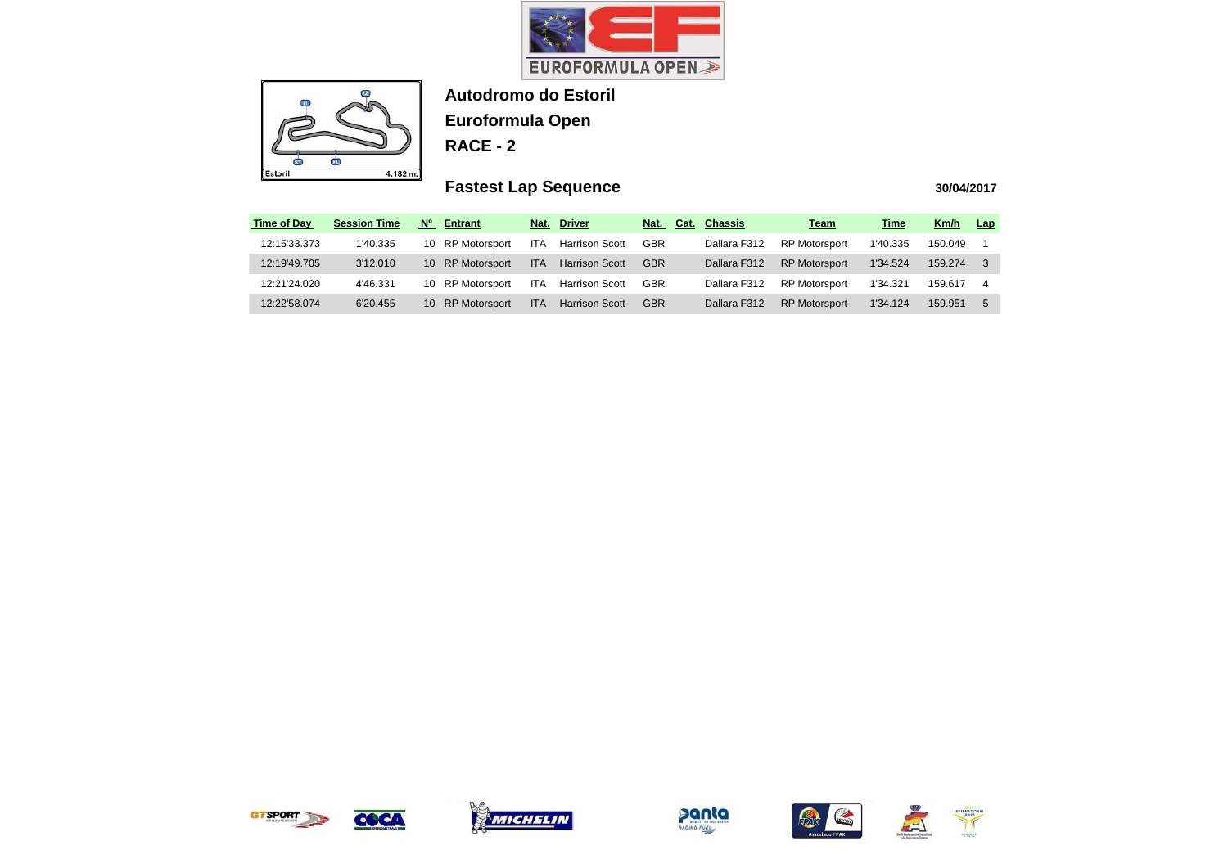



# **Fastest Lap Sequence**

| <b>Time of Day</b> | <b>Session Time</b> | $N^{\circ}$<br><b>Entrant</b>    | Nat.       | <b>Driver</b>         | Cat.<br>Nat. | <b>Chassis</b> | <b>Team</b>          | <u>Time</u> | Km/h    | Lap |
|--------------------|---------------------|----------------------------------|------------|-----------------------|--------------|----------------|----------------------|-------------|---------|-----|
| 12:15'33.373       | 1'40.335            | 10 RP Motorsport                 | ITA.       | Harrison Scott        | <b>GBR</b>   | Dallara F312   | <b>RP Motorsport</b> | 1'40.335    | 150.049 |     |
| 12:19'49.705       | 3'12.010            | 10 RP Motorsport                 | <b>ITA</b> | <b>Harrison Scott</b> | <b>GBR</b>   | Dallara F312   | <b>RP Motorsport</b> | 1'34.524    | 159.274 |     |
| 12:21'24.020       | 4'46.331            | 10 RP Motorsport                 | ITA.       | <b>Harrison Scott</b> | <b>GBR</b>   | Dallara F312   | <b>RP Motorsport</b> | 1'34.321    | 159.617 |     |
| 12:22'58.074       | 6'20.455            | <b>RP Motorsport</b><br>$10^{-}$ | <b>ITA</b> | <b>Harrison Scott</b> | <b>GBR</b>   | Dallara F312   | <b>RP Motorsport</b> | 1'34.124    | 159.951 | 5   |



COCA









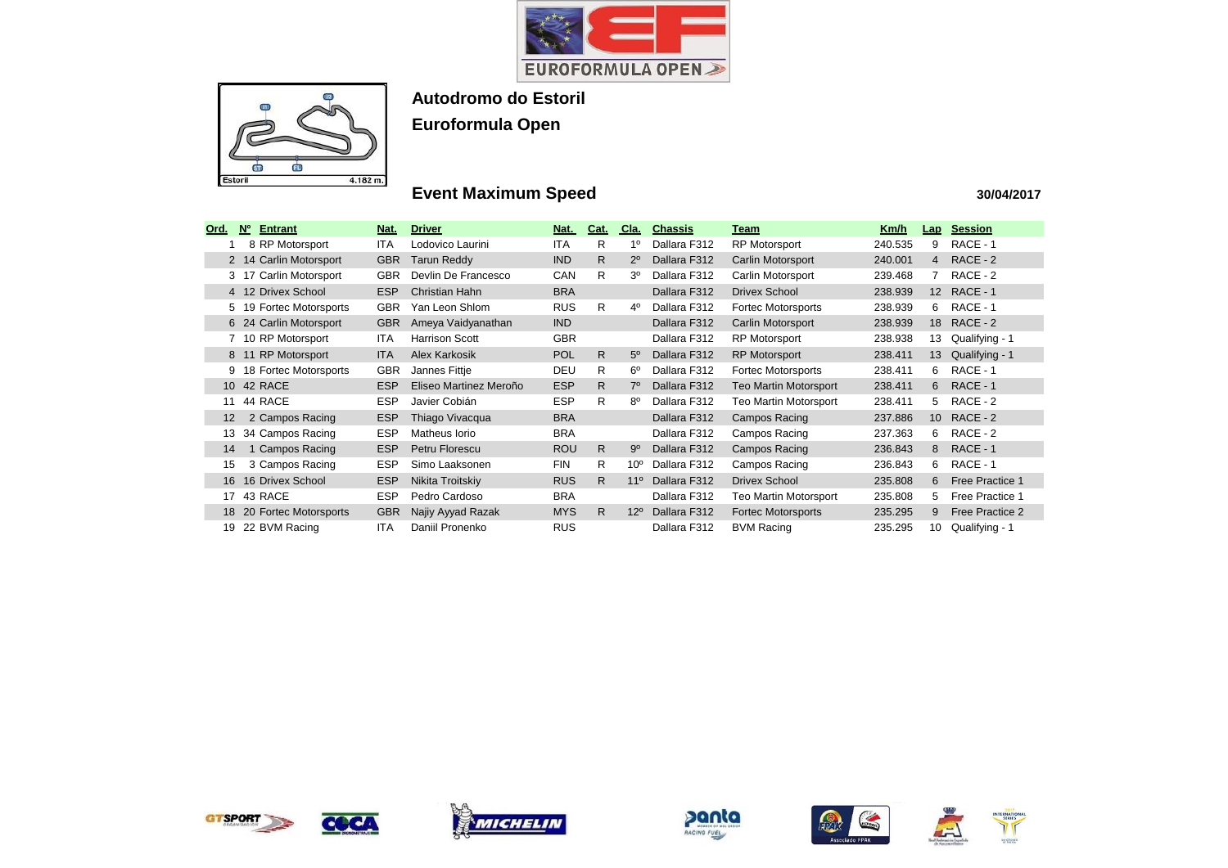



# **Event Maximum Speed**

| Ord. | N <sub>0</sub> | <b>Entrant</b>            | Nat.       | <b>Driver</b>          | Nat.       | Cat.         | Cla.            | <b>Chassis</b> | <u>Team</u>                  | <u>Km/h</u> | <u>Lap</u>      | <b>Session</b>  |
|------|----------------|---------------------------|------------|------------------------|------------|--------------|-----------------|----------------|------------------------------|-------------|-----------------|-----------------|
|      |                | 8 RP Motorsport           | <b>ITA</b> | Lodovico Laurini       | <b>ITA</b> | R            | $1^{\circ}$     | Dallara F312   | <b>RP Motorsport</b>         | 240.535     | 9               | RACE - 1        |
|      |                | 14 Carlin Motorsport      | <b>GBR</b> | <b>Tarun Reddy</b>     | <b>IND</b> | $\mathsf{R}$ | $2^{\circ}$     | Dallara F312   | Carlin Motorsport            | 240.001     | $\overline{4}$  | RACE - 2        |
| 3    | 17             | Carlin Motorsport         | <b>GBR</b> | Devlin De Francesco    | CAN        | R.           | 3º              | Dallara F312   | Carlin Motorsport            | 239.468     |                 | RACE - 2        |
|      |                | 4 12 Drivex School        | <b>ESP</b> | Christian Hahn         | <b>BRA</b> |              |                 | Dallara F312   | <b>Drivex School</b>         | 238.939     | 12 <sup>2</sup> | RACE - 1        |
| 5.   | 19             | <b>Fortec Motorsports</b> | <b>GBR</b> | Yan Leon Shlom         | <b>RUS</b> | R.           | $4^{\circ}$     | Dallara F312   | <b>Fortec Motorsports</b>    | 238.939     | 6               | RACE - 1        |
|      | 6 24           | Carlin Motorsport         | <b>GBR</b> | Ameya Vaidyanathan     | <b>IND</b> |              |                 | Dallara F312   | Carlin Motorsport            | 238.939     | 18              | RACE - 2        |
|      |                | 10 RP Motorsport          | ITA        | <b>Harrison Scott</b>  | <b>GBR</b> |              |                 | Dallara F312   | <b>RP Motorsport</b>         | 238.938     | 13              | Qualifying - 1  |
| 8    | -11            | <b>RP Motorsport</b>      | <b>ITA</b> | <b>Alex Karkosik</b>   | <b>POL</b> | $\mathsf{R}$ | $5^{\circ}$     | Dallara F312   | <b>RP Motorsport</b>         | 238.411     | 13              | Qualifying - 1  |
| 9    |                | 18 Fortec Motorsports     | <b>GBR</b> | Jannes Fittje          | <b>DEU</b> | R.           | 6°              | Dallara F312   | Fortec Motorsports           | 238.411     | 6               | RACE - 1        |
|      |                | 10 42 RACE                | <b>ESP</b> | Eliseo Martinez Meroño | <b>ESP</b> | $\mathsf{R}$ | $7^\circ$       | Dallara F312   | <b>Teo Martin Motorsport</b> | 238.411     | 6.              | RACE - 1        |
| 11   |                | 44 RACE                   | <b>ESP</b> | Javier Cobián          | <b>ESP</b> | R.           | $8^{\circ}$     | Dallara F312   | <b>Teo Martin Motorsport</b> | 238.411     | 5.              | RACE - 2        |
| 12   |                | 2 Campos Racing           | <b>ESP</b> | Thiago Vivacqua        | <b>BRA</b> |              |                 | Dallara F312   | Campos Racing                | 237.886     | 10 <sup>1</sup> | RACE - 2        |
| 13   |                | 34 Campos Racing          | <b>ESP</b> | Matheus Iorio          | <b>BRA</b> |              |                 | Dallara F312   | Campos Racing                | 237.363     | 6.              | RACE - 2        |
| 14   |                | <b>Campos Racing</b>      | <b>ESP</b> | Petru Florescu         | <b>ROU</b> | R            | $9^{\circ}$     | Dallara F312   | Campos Racing                | 236.843     | 8.              | RACE - 1        |
| 15   |                | 3 Campos Racing           | <b>ESP</b> | Simo Laaksonen         | <b>FIN</b> | R.           | 10 <sup>o</sup> | Dallara F312   | Campos Racing                | 236.843     | 6.              | RACE - 1        |
| 16   |                | 16 Drivex School          | <b>ESP</b> | Nikita Troitskiy       | <b>RUS</b> | $\mathsf{R}$ | 11 <sup>°</sup> | Dallara F312   | <b>Drivex School</b>         | 235.808     | 6               | Free Practice 1 |
| 17   |                | 43 RACE                   | <b>ESP</b> | Pedro Cardoso          | <b>BRA</b> |              |                 | Dallara F312   | <b>Teo Martin Motorsport</b> | 235.808     | 5.              | Free Practice 1 |
| 18   |                | 20 Fortec Motorsports     | <b>GBR</b> | Najiy Ayyad Razak      | <b>MYS</b> | R.           | $12^{\circ}$    | Dallara F312   | <b>Fortec Motorsports</b>    | 235.295     | 9               | Free Practice 2 |
| 19   |                | 22 BVM Racing             | <b>ITA</b> | Daniil Pronenko        | <b>RUS</b> |              |                 | Dallara F312   | <b>BVM Racing</b>            | 235.295     | 10              | Qualifying - 1  |













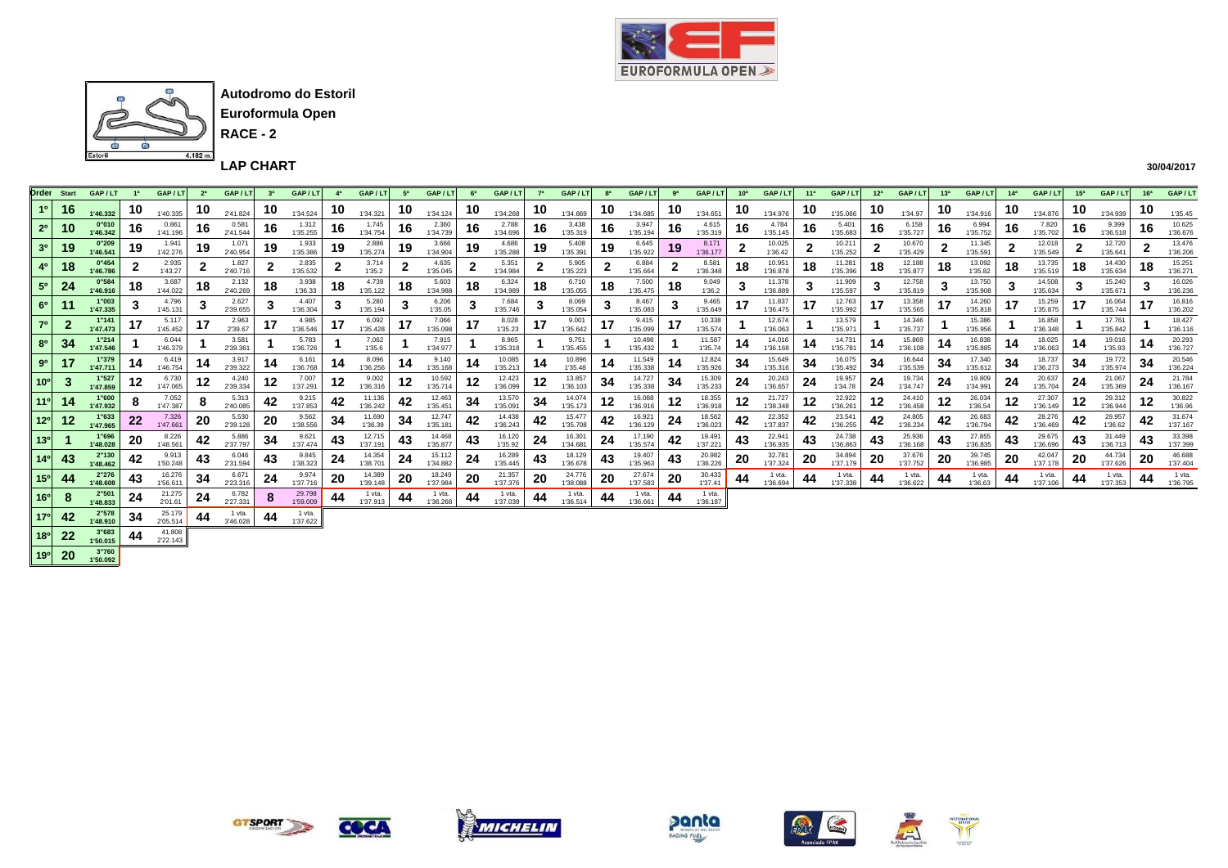



**Euroformula Open RACE - 2**

**LAP CHART** 

**30/04/2017**

| <b>Order</b> Start                   | GAP/LT            | 1 <sup>a</sup> | GAP/LT             | 2 <sup>a</sup> | GAP / LT           | 3 <sup>a</sup> | GAP/LT             |    | GAP/LT             | 5 <sup>a</sup> | GAP/L              | 6a | GAP/LT             |     | GAP/LT             | 8 <sup>a</sup> | GAP/LT             | ga           | GAP/LT             | 10 <sup>a</sup> | GAP/LT             | 11 <sup>a</sup> | GAP/LT             | 12 <sup>a</sup> | GAP/L              | 13 <sup>a</sup> | GAP/LT             | 14 <sup>a</sup> | GAP/LT             | 15 <sup>a</sup> | GAP/L              | 16 <sup>a</sup> | GAP/LT             |
|--------------------------------------|-------------------|----------------|--------------------|----------------|--------------------|----------------|--------------------|----|--------------------|----------------|--------------------|----|--------------------|-----|--------------------|----------------|--------------------|--------------|--------------------|-----------------|--------------------|-----------------|--------------------|-----------------|--------------------|-----------------|--------------------|-----------------|--------------------|-----------------|--------------------|-----------------|--------------------|
| 16                                   | 1'46.332          | 10             | 1'40.335           | 10             | 2'41.824           | 10             | 1'34.524           | 10 | 1'34.321           | 10             | 1'34.124           | 10 | 1'34.268           | 10  | 1'34.669           | 10             | 1'34.685           | 10           | 1'34.651           | 10              | 1'34.976           | 10              | 1'35.066           | 10              | 1'34.97            | 10              | 1'34.916           | 10              | 1'34.876           | 10              | 1'34.939           | 10              | 1'35.45            |
| $2^{\circ}$<br>10                    | 0"010<br>1'46.342 | 16             | 0.861<br>1'41.196  | 16             | 0.581<br>2'41.544  | 16             | 1.312<br>1'35.255  | 16 | 1.745<br>1'34.754  | 16             | 2.360<br>1'34.739  | 16 | 2.788<br>1'34.696  | 16  | 3.438<br>1'35.319  | 16             | 3.947<br>1'35.194  | 16           | 4.615<br>1'35.319  | 16              | 4.784<br>1'35.145  | 16.             | 5.401<br>1'35.683  | 16              | 6.158<br>1'35.727  | 16              | 6.994<br>1'35.752  | 16              | 7.820<br>1'35.702  | 16              | 9.399<br>1'36.518  | 16              | 10.625<br>1'36.676 |
| 3 <sup>0</sup><br>19                 | 0"209<br>1'46.541 | 19             | 1.941<br>1'42.276  | 19             | 1.071<br>2'40.954  | 19             | 1.933<br>1'35.386  | 19 | 2.886<br>1'35.274  | 19             | 3.666<br>1'34.904  | 19 | 4.686<br>1'35.288  | 19  | 5.408<br>1'35.391  | 19             | 6.645<br>1'35.922  | 19           | 8.171<br>1'36.177  |                 | 10.025<br>1'36.42  |                 | 10.211<br>1'35.252 |                 | 10.670<br>1'35.429 |                 | 11.345<br>1'35.591 |                 | 12.018<br>1'35.549 |                 | 12.720<br>1'35.641 |                 | 13.476<br>1'36.206 |
| 4 <sup>0</sup><br>18                 | 0"454<br>1'46.786 |                | 2.935<br>1'43.27   | ◢              | 1.827<br>2'40.716  |                | 2.835<br>1'35.532  |    | 3.714<br>1'35.2    | ◢              | 4.635<br>1'35.045  |    | 5.351<br>1'34.984  |     | 5.905<br>1'35.223  | ◢              | 6.884<br>1'35.664  | $\mathbf{2}$ | 8.581<br>1'36.348  | 18              | 10.951<br>1'36.878 | 18              | 11.281<br>1'35.396 | 18              | 12.188<br>1'35.877 | 18              | 13.092<br>1'35.82  | 18              | 13.735<br>1'35.519 | 18              | 14.430<br>1'35.634 | 18              | 15.251<br>1'36.271 |
| 24<br>$5^\circ$                      | 0"584<br>1'46.916 | 18             | 3.687<br>1'44.022  | 18             | 2.132<br>2'40.269  | 18             | 3.938<br>1'36.33   | 18 | 4.739<br>1'35.122  | 18             | 5.603<br>1'34.988  | 18 | 6.324<br>1'34.989  | 18  | 6.710<br>1'35.055  | 18             | 7.500<br>1'35.475  | 18           | 9.049<br>1'36.2    |                 | 11.378<br>1'36.889 | З               | 11.909<br>1'35.597 | د.              | 12.758<br>1'35.819 |                 | 13.750<br>1'35,908 |                 | 14.508<br>1'35.634 | 3               | 15.240<br>1'35.671 |                 | 16.026<br>1'36.236 |
| 6 <sup>o</sup><br>11                 | 1"003<br>1'47.335 |                | 4.796<br>1'45.131  |                | 2.627<br>2'39.655  | 3              | 4.407<br>1'36.304  |    | 5.280<br>1'35.194  |                | 6.206<br>1'35.05   |    | 7.684<br>1'35.746  |     | 8.069<br>1'35.054  |                | 8.467<br>1'35.083  | -3           | 9.465<br>1'35.649  | 17              | 11.837<br>1'36.475 |                 | 12.763<br>1'35.992 | 17              | 13.358<br>1'35.565 |                 | 14.260<br>1'35.818 |                 | 15.259<br>1'35.875 | 17              | 16.064<br>1'35.744 |                 | 16.816<br>1'36.202 |
| $\overline{\mathbf{2}}$<br>$7^\circ$ | 1"141<br>1'47.473 |                | 5.117<br>1'45.452  | 17             | 2.963<br>2'39.67   |                | 4.985<br>1'36.546  |    | 6.092<br>1'35.428  | 17             | 7.066<br>1'35.098  | 17 | 8.028<br>1'35.23   | 17  | 9.001<br>1'35.642  | 17             | 9.415<br>1'35.099  | 17           | 10.338<br>1'35.574 |                 | 12.674<br>1'36.063 |                 | 13.579<br>1'35.971 |                 | 14.346<br>1'35.737 |                 | 15.386<br>1'35.956 |                 | 16.858<br>1'36.348 |                 | 17.761<br>1'35.842 |                 | 18.427<br>1'36.116 |
| 34<br>$8^{\rm o}$                    | 1"214<br>1'47.546 |                | 6.044<br>1'46.379  |                | 3.581<br>2'39.361  |                | 5.783<br>1'36.726  |    | 7.062<br>1'35.6    |                | 7.915<br>1'34.977  |    | 8.965<br>1'35.318  |     | 9.751<br>1'35.455  |                | 10.498<br>1'35.432 |              | 11.587<br>1'35.74  |                 | 14.016<br>1'36.168 | 14              | 14.731<br>1'35.78' | 14              | 15.869<br>1'36.108 | 14              | 16.838<br>1'35.885 | 14              | 18.025<br>1'36.063 | 14              | 19.016<br>1'35.93  |                 | 20.293<br>1'36.727 |
| 90                                   | 1"379<br>1'47.711 | 14             | 6.419<br>1'46.754  | 14             | 3.917<br>2'39.322  | 14             | 6.161<br>1'36.768  | 14 | 8.096<br>1'36.256  | 14             | 9.140<br>1'35.168  | 14 | 10.085<br>1'35.213 | 14  | 10.896<br>1'35.48  | 14             | 11.549<br>1'35.338 | 14           | 12.824<br>1'35.926 | 34              | 15.649<br>1'35.316 | 34              | 16.075<br>1'35.492 | 34              | 16.644<br>1'35.539 | 34              | 17.340<br>1'35.612 | 34              | 18.737<br>1'36.273 | 34              | 19.772<br>1'35.974 | 34              | 20.546<br>1'36.224 |
| 10 <sup>o</sup>                      | 1"527<br>1'47.859 | 12             | 6.730<br>1'47.065  | 12             | 4.240<br>2'39.334  | 12             | 7.007<br>1'37.291  | 12 | 9.002<br>1'36.316  | 12             | 10.592<br>1'35.714 | 12 | 12.423<br>1'36.099 | 12  | 13.857<br>1'36.103 | 34             | 14.727<br>1'35.338 | 34           | 15.309<br>1'35.233 | 24              | 20.243<br>1'36.657 | 24              | 19.957<br>1'34.78  | 24              | 19.734<br>1'34.747 | 24              | 19.809<br>1'34.991 | 24              | 20.637<br>1'35.704 | 24              | 21.067<br>1'35.369 | 24              | 21.784<br>1'36.167 |
| 11 <sup>o</sup><br>14                | 1"600<br>1'47.932 | 8              | 7.052<br>1'47.387  | 8              | 5.313<br>2'40.085  | 42             | 9.215<br>1'37.853  | 42 | 11.136<br>1'36.242 | 42             | 12.463<br>1'35.451 | 34 | 13,570<br>1'35.091 | -34 | 14.074<br>1'35.173 | 12             | 16,088<br>1'36.916 | 12           | 18.355<br>1'36.918 | 12              | 21.727<br>1'38.348 | 12              | 22.922<br>1'36.261 | 12              | 24.410<br>1'36,458 | 12              | 26.034<br>1'36.54  | 12              | 27.307<br>1'36.149 | 12              | 29.312<br>1'36.944 | 12              | 30.822<br>1'36.96  |
| 12<br>$12^{\circ}$                   | 1"633<br>1'47.965 | 22             | 7.326<br>1'47.661  | 20             | 5.530<br>2'39.128  | 20             | 9.562<br>1'38.556  | 34 | 11.690<br>1'36.39  | 34             | 12.747<br>1'35.181 | 42 | 14.438<br>1'36.243 | 42  | 15.477<br>1'35,708 | 42             | 16.921<br>1'36.129 | 24           | 18.562<br>1'36.023 | 42              | 22.352<br>1'37.837 | 42              | 23.541<br>1'36.255 | 42              | 24.805<br>1'36.234 | 42              | 26.683<br>1'36.794 | 42              | 28.276<br>1'36,469 | 42              | 29.957<br>1'36.62  | 42              | 31.674<br>1'37.167 |
| 13 <sup>o</sup>                      | 1"696<br>1'48.028 | 20             | 8.226<br>1'48.561  | 42             | 5.886<br>2'37.797  | -34            | 9.621<br>1'37.474  | 43 | 12.715<br>1'37.191 | 43             | 14.468<br>1'35.877 | 43 | 16.120<br>1'35.92  | 24  | 16.301<br>1'34.681 | 24             | 17.190<br>1'35.574 | 42           | 19.491<br>1'37.221 | 43              | 22.941<br>1'36.935 | 43              | 24.738<br>1'36.863 | 43              | 25.936<br>1'36.168 | 43              | 27.855<br>1'36.835 | 43              | 29.675<br>1'36.696 | 43              | 31,449<br>1'36,713 | 43              | 33.398<br>1'37.399 |
| $14^{\circ}$<br>43                   | 2"130<br>1'48.462 | 42             | 9.913<br>1'50.248  | 43             | 6.046<br>2'31.594  | 43             | 9.845<br>1'38.323  | 24 | 14.354<br>1'38.701 | 24             | 15.112<br>1'34.882 | 24 | 16.289<br>1'35.445 | 43  | 18.129<br>1'36.678 | 43             | 19.407<br>1'35.963 | 43           | 20.982<br>1'36.226 | 20              | 32.781<br>1'37.324 | 20              | 34.894<br>1'37.179 | 20              | 37.676<br>1'37.752 | -20             | 39.745<br>1'36.985 | 20              | 42.047<br>1'37.178 | 20              | 44.734<br>1'37.626 | 20              | 46.688<br>1'37.404 |
| 15 <sup>o</sup><br>44                | 2"276<br>1'48.608 | 43             | 16.276<br>1'56.61  | 34             | 6.671<br>2'23.316  | 24             | 9.974<br>1'37.716  | 20 | 14.389<br>1'39.148 | 20             | 18.249<br>1'37.984 | 20 | 21.357<br>1'37.376 | 20  | 24.776<br>1'38.088 | 20             | 27.674<br>1'37.583 | 20           | 30.433<br>1'37.41  |                 | 1 vta.<br>1'36.694 | 44              | 1 vta.<br>1'37.338 | 44              | 1 vta.<br>1'36.622 | 44              | 1 vta.<br>1'36.63  | 44              | 1 vta.<br>1'37.106 | 44              | 1 vta.<br>1'37.353 |                 | 1 vta.<br>1'36,795 |
| 8<br>16 <sup>o</sup>                 | 2"501<br>1'48.833 | 24             | 21.275<br>2'01.61  | 24             | 6.782<br>2'27.331  | 8              | 29.798<br>1'59.009 | 44 | 1 vta.<br>1'37.913 | 44             | 1 vta.<br>1'36.268 | 44 | 1 vta.<br>1'37.039 | 44  | 1 vta.<br>1'36.514 | 44             | 1 vta.<br>1'36.661 | 44           | 1 vta.<br>1'36.187 |                 |                    |                 |                    |                 |                    |                 |                    |                 |                    |                 |                    |                 |                    |
| 42<br>17 <sup>o</sup>                | 2"578<br>1'48.910 | 34             | 25.179<br>2'05.514 | 44             | 1 vta.<br>3'46.028 |                | 1 vta.<br>1'37.622 |    |                    |                |                    |    |                    |     |                    |                |                    |              |                    |                 |                    |                 |                    |                 |                    |                 |                    |                 |                    |                 |                    |                 |                    |

 **18º 22 3"683 44**  $^{41.808}_{222.143}$  **19º 20 3"760 1'50.092**



COCA







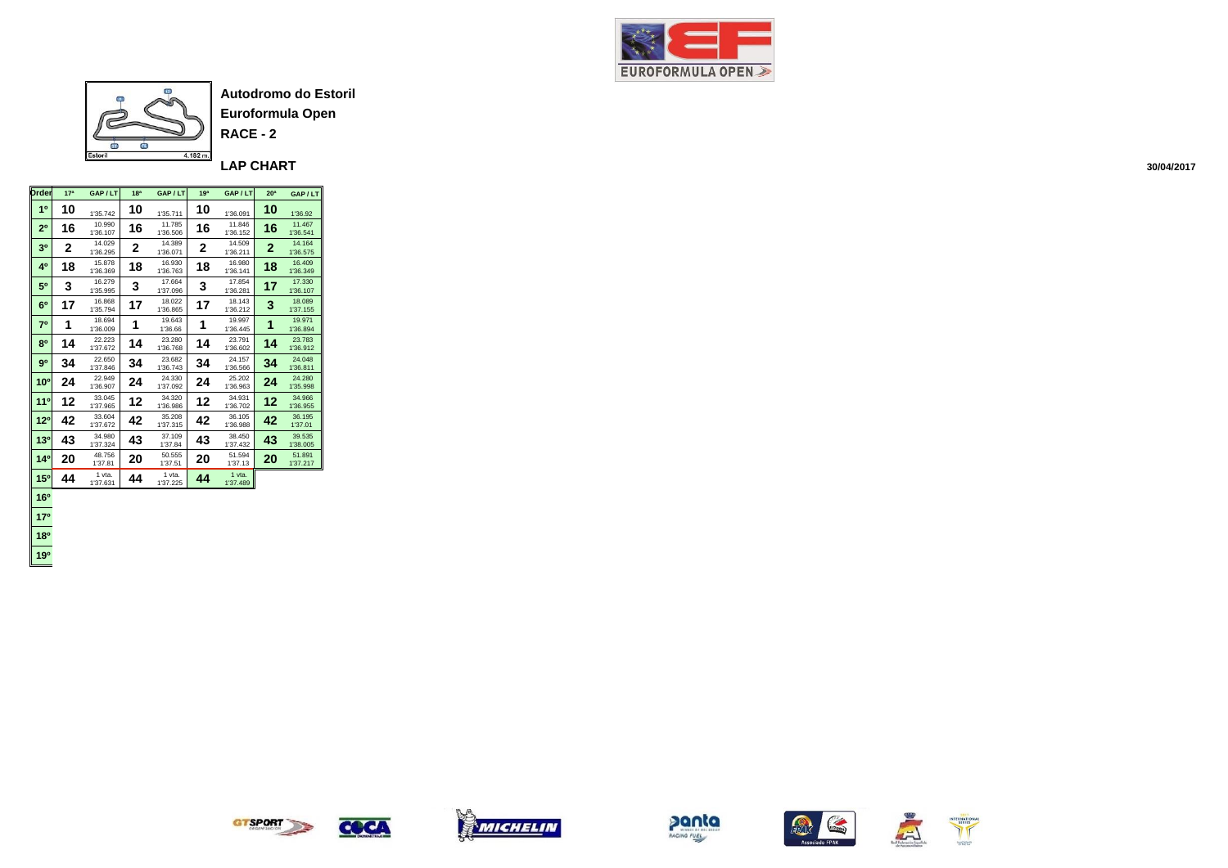



**RACE - 2**

**LAP CHART** 

| <b>Drder</b>    | 17 <sup>a</sup> | GAP/LT             | 18 <sup>a</sup> | GAP/LT             | 19 <sup>a</sup> | GAP / LT           | 20 <sup>a</sup> | GAP/LT             |
|-----------------|-----------------|--------------------|-----------------|--------------------|-----------------|--------------------|-----------------|--------------------|
| 1 <sup>0</sup>  | 10              | 1'35.742           | 10              | 1'35.711           | 10              | 1'36.091           | 10              | 1'36.92            |
| 2 <sup>0</sup>  | 16              | 10.990<br>1'36.107 | 16              | 11.785<br>1'36.506 | 16              | 11.846<br>1'36.152 | 16              | 11.467<br>1'36.541 |
| 30              | 2               | 14.029<br>1'36.295 | 2               | 14.389<br>1'36.071 | 2               | 14.509<br>1'36.211 | $\overline{2}$  | 14.164<br>1'36.575 |
| 40              | 18              | 15.878<br>1'36.369 | 18              | 16.930<br>1'36.763 | 18              | 16.980<br>1'36.141 | 18              | 16,409<br>1'36.349 |
| 50              | 3               | 16.279<br>1'35.995 | 3               | 17.664<br>1'37.096 | 3               | 17.854<br>1'36.281 | 17              | 17.330<br>1'36.107 |
| 6 <sup>0</sup>  | 17              | 16.868<br>1'35.794 | 17              | 18.022<br>1'36.865 | 17              | 18.143<br>1'36.212 | 3               | 18.089<br>1'37.155 |
| 70              | 1               | 18.694<br>1'36.009 | 1               | 19.643<br>1'36.66  | 1               | 19.997<br>1'36.445 | 1               | 19.971<br>1'36.894 |
| 80              | 14              | 22.223<br>1'37.672 | 14              | 23.280<br>1'36.768 | 14              | 23.791<br>1'36.602 | 14              | 23.783<br>1'36.912 |
| 9 <sup>0</sup>  | 34              | 22.650<br>1'37.846 | 34              | 23.682<br>1'36.743 | 34              | 24.157<br>1'36.566 | 34              | 24.048<br>1'36.811 |
| 10 <sup>o</sup> | 24              | 22.949<br>1'36.907 | 24              | 24.330<br>1'37.092 | 24              | 25.202<br>1'36.963 | 24              | 24.280<br>1'35.998 |
| 110             | 12              | 33.045<br>1'37.965 | 12              | 34.320<br>1'36.986 | 12              | 34.931<br>1'36.702 | 12              | 34.966<br>1'36.955 |
| $12^{o}$        | 42              | 33.604<br>1'37.672 | 42              | 35.208<br>1'37.315 | 42              | 36.105<br>1'36.988 | 42              | 36.195<br>1'37.01  |
| 13 <sup>0</sup> | 43              | 34.980<br>1'37.324 | 43              | 37.109<br>1'37.84  | 43              | 38.450<br>1'37.432 | 43              | 39.535<br>1'38.005 |
| 140             | 20              | 48.756<br>1'37.81  | 20              | 50.555<br>1'37.51  | 20              | 51.594<br>1'37.13  | 20              | 51.891<br>1'37.217 |
| 15 <sup>o</sup> | 44              | 1 vta.<br>1'37.631 | 44              | 1 vta.<br>1'37.225 | 44              | 1 vta.<br>1'37.489 |                 |                    |
| 16 <sup>o</sup> |                 |                    |                 |                    |                 |                    |                 |                    |

 **17º 18º 19º**

**GTSPORT** 

COCA







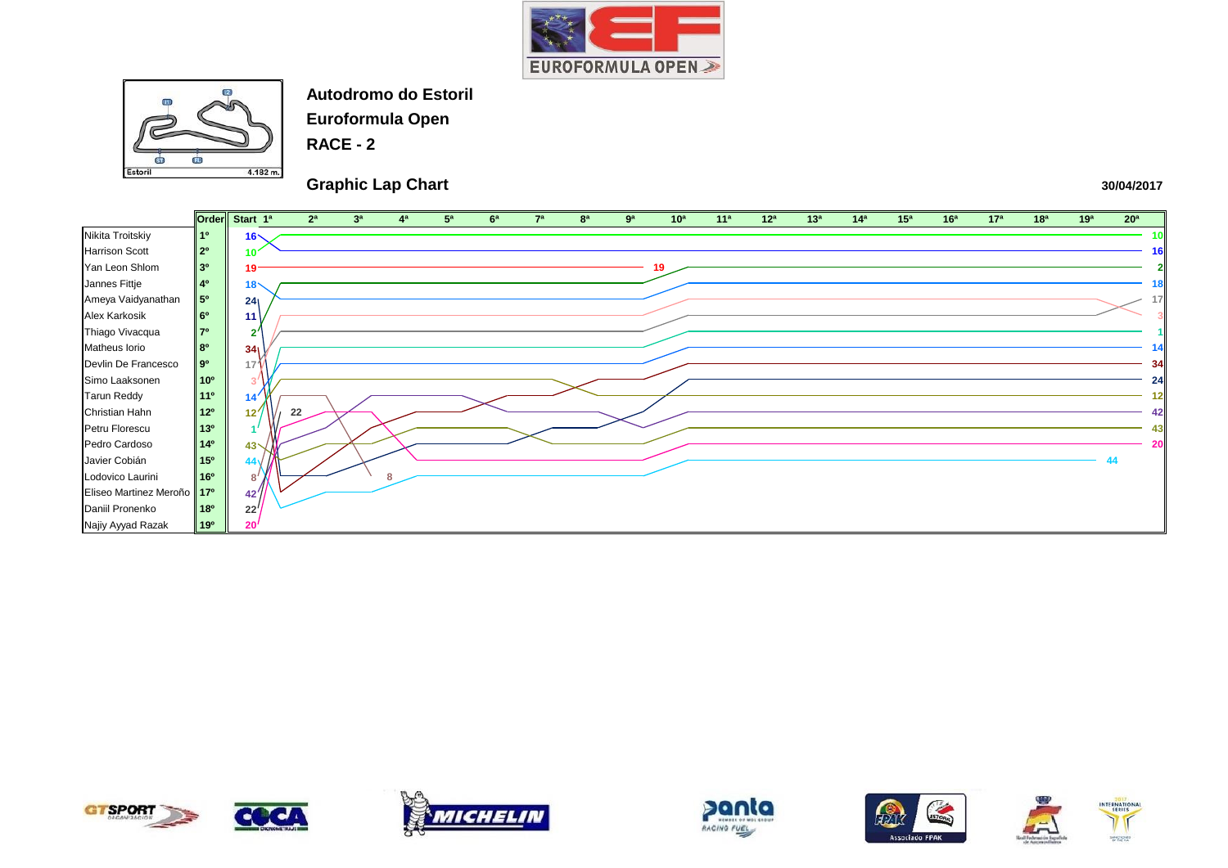



**Euroformula Open**

**RACE - 2**

## **Graphic Lap Chart**













| 16 <sup>a</sup> | 17 <sup>a</sup> | 18 <sup>a</sup> | 19 <sup>a</sup> | 20 <sup>a</sup> |                         |
|-----------------|-----------------|-----------------|-----------------|-----------------|-------------------------|
|                 |                 |                 |                 |                 | 10                      |
|                 |                 |                 |                 |                 | 16                      |
|                 |                 |                 |                 |                 | $\overline{\mathbf{2}}$ |
|                 |                 |                 |                 |                 | 18                      |
|                 |                 |                 |                 |                 | 1<br>7                  |
|                 |                 |                 |                 |                 |                         |
|                 |                 |                 |                 |                 |                         |
|                 |                 |                 |                 |                 | 14                      |
|                 |                 |                 |                 |                 | 34                      |
|                 |                 |                 |                 |                 | 24                      |
|                 |                 |                 |                 |                 | 12                      |
|                 |                 |                 |                 |                 | 42                      |
|                 |                 |                 |                 |                 | 43                      |
|                 |                 |                 |                 |                 | 20                      |
|                 |                 |                 |                 | 44              |                         |
|                 |                 |                 |                 |                 |                         |
|                 |                 |                 |                 |                 |                         |
|                 |                 |                 |                 |                 |                         |
|                 |                 |                 |                 |                 |                         |